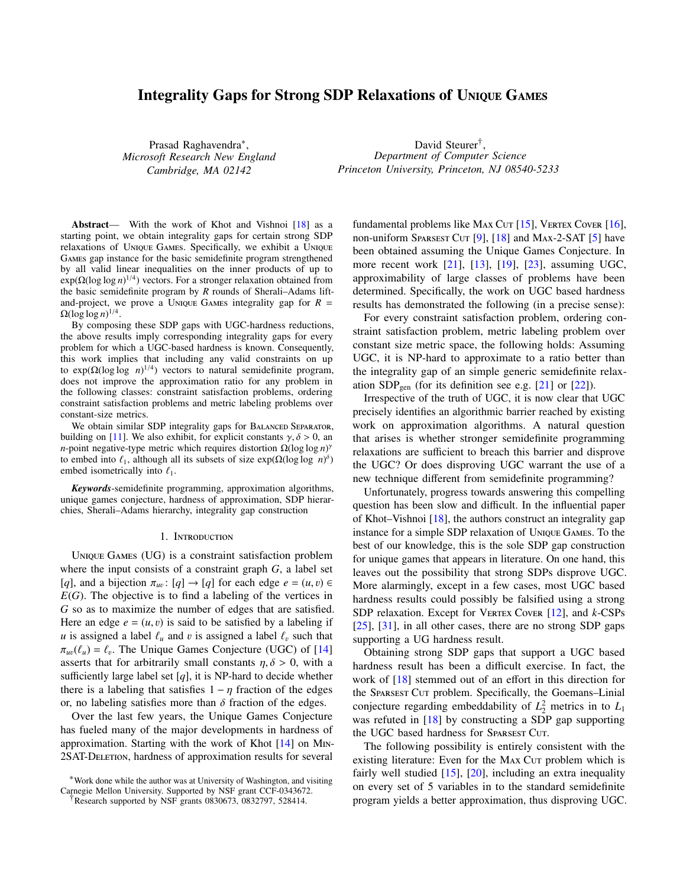# Integrality Gaps for Strong SDP Relaxations of UNIQUE GAMES

Prasad Raghavendra<sup>\*</sup>, *Microsoft Research New England Cambridge, MA 02142*

David Steurer<sup>†</sup>, *Department of Computer Science Princeton University, Princeton, NJ 08540-5233*

Abstract— With the work of Khot and Vishnoi [\[18\]](#page-10-0) as a starting point, we obtain integrality gaps for certain strong SDP relaxations of UNIQUE GAMES. Specifically, we exhibit a UNIQUE GAMES gap instance for the basic semidefinite program strengthened by all valid linear inequalities on the inner products of up to  $exp(\Omega(\log \log n)^{1/4})$  vectors. For a stronger relaxation obtained from the basic semidefinite program by *R* rounds of Sherali–Adams liftand-project, we prove a UNIQUE GAMES integrality gap for  $R =$  $\Omega(\log \log n)^{1/4}.$ 

By composing these SDP gaps with UGC-hardness reductions, the above results imply corresponding integrality gaps for every problem for which a UGC-based hardness is known. Consequently, this work implies that including any valid constraints on up to  $exp(\Omega(\log \log n)^{1/4})$  vectors to natural semidefinite program, does not improve the approximation ratio for any problem in the following classes: constraint satisfaction problems, ordering constraint satisfaction problems and metric labeling problems over constant-size metrics.

We obtain similar SDP integrality gaps for BALANCED SEPARATOR, building on [\[11\]](#page-10-1). We also exhibit, for explicit constants  $\gamma$ ,  $\delta$  > 0, an *n*-point negative-type metric which requires distortion  $\Omega(\log \log n)^{\gamma}$ to embed into  $\ell_1$ , although all its subsets of size exp( $\Omega(\log \log n)^{\delta}$ )<br>embed isometrically into  $\ell_1$ embed isometrically into  $\ell_1$ .

*Keywords*-semidefinite programming, approximation algorithms, unique games conjecture, hardness of approximation, SDP hierarchies, Sherali–Adams hierarchy, integrality gap construction

#### 1. INTRODUCTION

UNIQUE GAMES (UG) is a constraint satisfaction problem where the input consists of a constraint graph *G*, a label set [*q*], and a bijection  $\pi_{uv}$ : [*q*]  $\rightarrow$  [*q*] for each edge  $e = (u, v) \in$  *F(G)*. The objective is to find a labeling of the vertices in  $E(G)$ . The objective is to find a labeling of the vertices in *G* so as to maximize the number of edges that are satisfied. Here an edge  $e = (u, v)$  is said to be satisfied by a labeling if *u* is assigned a label  $\ell_u$  and *v* is assigned a label  $\ell_v$  such that  $\pi_{uv}(\ell_u) = \ell_v$ . The Unique Games Conjecture (UGC) of [\[14\]](#page-10-2) seconds that for arbitrarily small constants  $n \delta > 0$  with a asserts that for arbitrarily small constants  $\eta$ ,  $\delta > 0$ , with a sufficiently large label set  $[q]$ , it is NP-hard to decide whether there is a labeling that satisfies  $1 - \eta$  fraction of the edges or, no labeling satisfies more than  $\delta$  fraction of the edges.

Over the last few years, the Unique Games Conjecture has fueled many of the major developments in hardness of approximation. Starting with the work of Khot  $[14]$  on M<sub>IN</sub>-2SAT-DELETION, hardness of approximation results for several fundamental problems like MAX CUT  $[15]$ , VERTEX COVER  $[16]$ , non-uniform SPARSEST CUT  $[9]$ ,  $[18]$  and MAX-2-SAT  $[5]$  have been obtained assuming the Unique Games Conjecture. In more recent work [\[21\]](#page-10-6), [\[13\]](#page-10-7), [\[19\]](#page-10-8), [\[23\]](#page-10-9), assuming UGC, approximability of large classes of problems have been determined. Specifically, the work on UGC based hardness results has demonstrated the following (in a precise sense):

For every constraint satisfaction problem, ordering constraint satisfaction problem, metric labeling problem over constant size metric space, the following holds: Assuming UGC, it is NP-hard to approximate to a ratio better than the integrality gap of an simple generic semidefinite relaxation  $SDP_{gen}$  (for its definition see e.g. [\[21\]](#page-10-6) or [\[22\]](#page-10-10)).

Irrespective of the truth of UGC, it is now clear that UGC precisely identifies an algorithmic barrier reached by existing work on approximation algorithms. A natural question that arises is whether stronger semidefinite programming relaxations are sufficient to breach this barrier and disprove the UGC? Or does disproving UGC warrant the use of a new technique different from semidefinite programming?

Unfortunately, progress towards answering this compelling question has been slow and difficult. In the influential paper of Khot–Vishnoi [\[18\]](#page-10-0), the authors construct an integrality gap instance for a simple SDP relaxation of UNIQUE GAMES. To the best of our knowledge, this is the sole SDP gap construction for unique games that appears in literature. On one hand, this leaves out the possibility that strong SDPs disprove UGC. More alarmingly, except in a few cases, most UGC based hardness results could possibly be falsified using a strong SDP relaxation. Except for VERTEX CovER [\[12\]](#page-10-11), and *k*-CSPs [\[25\]](#page-10-12), [\[31\]](#page-10-13), in all other cases, there are no strong SDP gaps supporting a UG hardness result.

Obtaining strong SDP gaps that support a UGC based hardness result has been a difficult exercise. In fact, the work of [\[18\]](#page-10-0) stemmed out of an effort in this direction for the SPARSEST CUT problem. Specifically, the Goemans–Linial conjecture regarding embeddability of  $L_2^2$  metrics in to  $L_1$ was refuted in [\[18\]](#page-10-0) by constructing a SDP gap supporting the UGC based hardness for SPARSEST CUT.

The following possibility is entirely consistent with the existing literature: Even for the MAX Cur problem which is fairly well studied [\[15\]](#page-10-3), [\[20\]](#page-10-14), including an extra inequality on every set of 5 variables in to the standard semidefinite program yields a better approximation, thus disproving UGC.

<sup>∗</sup>Work done while the author was at University of Washington, and visiting Carnegie Mellon University. Supported by NSF grant CCF-0343672.

Research supported by NSF grants 0830673, 0832797, 528414.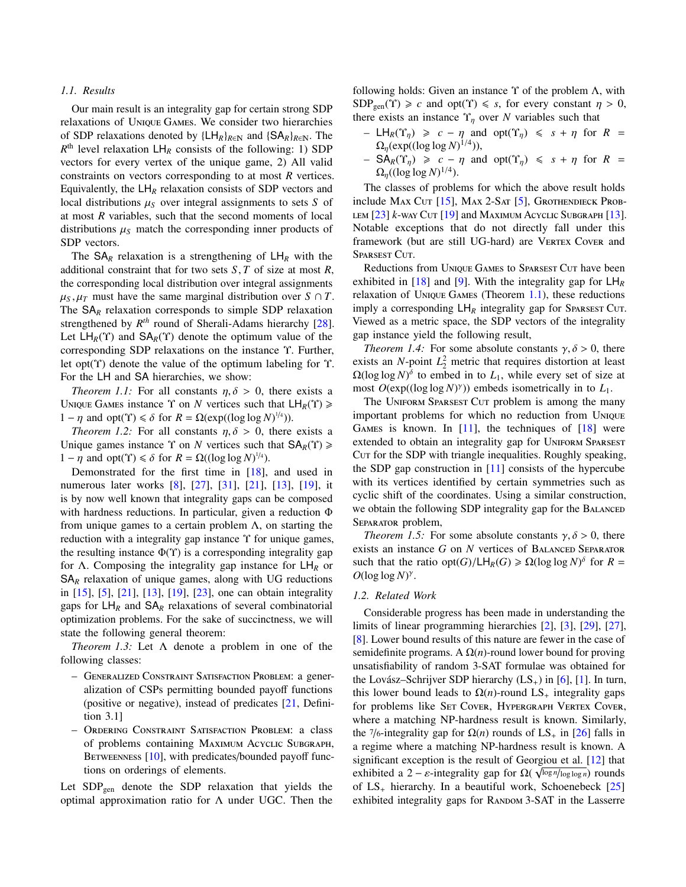## *1.1. Results*

Our main result is an integrality gap for certain strong SDP relaxations of UNIQUE GAMES. We consider two hierarchies of SDP relaxations denoted by  $\{LH_R\}_{R\in\mathbb{N}}$  and  $\{SA_R\}_{R\in\mathbb{N}}$ . The  $R<sup>th</sup>$  level relaxation  $LH_R$  consists of the following: 1) SDP vectors for every vertex of the unique game, 2) All valid constraints on vectors corresponding to at most *R* vertices. Equivalently, the  $LH_R$  relaxation consists of SDP vectors and local distributions  $\mu_S$  over integral assignments to sets *S* of at most *R* variables, such that the second moments of local distributions  $\mu_S$  match the corresponding inner products of SDP vectors.

The  $SA<sub>R</sub>$  relaxation is a strengthening of  $LH<sub>R</sub>$  with the additional constraint that for two sets *<sup>S</sup>*, *<sup>T</sup>* of size at most *<sup>R</sup>*, the corresponding local distribution over integral assignments  $\mu_S$ ,  $\mu_T$  must have the same marginal distribution over *S* ∩ *T*. The SA<sub>R</sub> relaxation corresponds to simple SDP relaxation strengthened by *R th* round of Sherali-Adams hierarchy [\[28\]](#page-10-15). Let  $LH_R(\Upsilon)$  and  $SA_R(\Upsilon)$  denote the optimum value of the corresponding SDP relaxations on the instance Υ. Further, let opt(Υ) denote the value of the optimum labeling for Υ. For the LH and SA hierarchies, we show:

<span id="page-1-0"></span>*Theorem 1.1:* For all constants  $\eta$ ,  $\delta > 0$ , there exists a UNIQUE GAMES instance  $\Upsilon$  on *N* vertices such that  $LH_R(\Upsilon) \geq$  $1 - \eta$  and opt( $\Upsilon$ )  $\leq \delta$  for  $R = \Omega(\exp((\log \log N)^{1/4}))$ .<br>Theorem 1.2: For all constants  $n, \delta > 0$  there

<span id="page-1-1"></span>*Theorem 1.2:* For all constants  $\eta$ ,  $\delta > 0$ , there exists a Unique games instance  $\Upsilon$  on *N* vertices such that  $SA_R(\Upsilon) \geq$ 1 − η and opt(Υ)  $\leq \delta$  for *R* = Ω((log log *N*)<sup>1/4</sup>).<br>Demonstrated for the first time in [18]

Demonstrated for the first time in [\[18\]](#page-10-0), and used in numerous later works [\[8\]](#page-10-16), [\[27\]](#page-10-17), [\[31\]](#page-10-13), [\[21\]](#page-10-6), [\[13\]](#page-10-7), [\[19\]](#page-10-8), it is by now well known that integrality gaps can be composed with hardness reductions. In particular, given a reduction Φ from unique games to a certain problem  $\Lambda$ , on starting the reduction with a integrality gap instance Υ for unique games, the resulting instance  $\Phi(\Upsilon)$  is a corresponding integrality gap for Λ. Composing the integrality gap instance for LH*<sup>R</sup>* or  $SA<sub>R</sub>$  relaxation of unique games, along with UG reductions in [\[15\]](#page-10-3), [\[5\]](#page-9-0), [\[21\]](#page-10-6), [\[13\]](#page-10-7), [\[19\]](#page-10-8), [\[23\]](#page-10-9), one can obtain integrality gaps for  $LH_R$  and  $SA_R$  relaxations of several combinatorial optimization problems. For the sake of succinctness, we will state the following general theorem:

*Theorem 1.3:* Let Λ denote a problem in one of the following classes:

- GENERALIZED CONSTRAINT SATISFACTION PROBLEM: a generalization of CSPs permitting bounded payoff functions (positive or negative), instead of predicates [\[21,](#page-10-6) Definition 3.1]
- ORDERING CONSTRAINT SATISFACTION PROBLEM: a class of problems containing MAXIMUM ACYCLIC SUBGRAPH, BETWEENNESS  $[10]$ , with predicates/bounded payoff functions on orderings of elements.

Let  $SDP<sub>gen</sub>$  denote the SDP relaxation that yields the optimal approximation ratio for Λ under UGC. Then the following holds: Given an instance  $\Upsilon$  of the problem  $\Lambda$ , with  $SDP<sub>gen</sub>(\Upsilon) \geq c$  and opt( $\Upsilon$ )  $\leq s$ , for every constant  $\eta > 0$ , there exists an instance  $\Upsilon_{\eta}$  over *N* variables such that

- $L H_R(T_n) \ge c \eta$  and opt( $\Upsilon_n$ ) ≤ *s* + η for *R* =  $\Omega_{\eta}(\exp((\log \log N)^{1/4})),$
- $-$  SA<sub>R</sub>(Y<sub>η</sub>) ≥ *c* − η and opt(Y<sub>η</sub>) ≤ *s* + η for *R* =  $\Omega_{\eta}((\log \log N)^{1/4}).$

The classes of problems for which the above result holds include MAX CUT  $[15]$ , MAX 2-SAT  $[5]$ , GROTHENDIECK PROB-LEM  $[23]$   $k$ -WAY CUT  $[19]$  and MAXIMUM ACYCLIC SUBGRAPH  $[13]$ . Notable exceptions that do not directly fall under this framework (but are still UG-hard) are VERTEX CovER and SPARSEST CUT.

Reductions from UNIQUE GAMES to SPARSEST CUT have been exhibited in [\[18\]](#page-10-0) and [\[9\]](#page-10-5). With the integrality gap for LH*<sup>R</sup>* relaxation of UNIQUE GAMES (Theorem  $1.1$ ), these reductions imply a corresponding  $LH_R$  integrality gap for SPARSEST CUT. Viewed as a metric space, the SDP vectors of the integrality gap instance yield the following result,

*Theorem 1.4:* For some absolute constants  $\gamma$ ,  $\delta > 0$ , there exists an *N*-point  $L_2^2$  metric that requires distortion at least  $\Omega(\log \log N)^{\delta}$  to embed in to  $L_1$ , while every set of size at most *O*(exp((log log *N*) γ )) embeds isometrically in to *L*1.

The UNIFORM SPARSEST CUT problem is among the many important problems for which no reduction from U GAMES is known. In  $[11]$ , the techniques of  $[18]$  were extended to obtain an integrality gap for UNIFORM SPARSEST Cur for the SDP with triangle inequalities. Roughly speaking, the SDP gap construction in  $[11]$  consists of the hypercube with its vertices identified by certain symmetries such as cyclic shift of the coordinates. Using a similar construction, we obtain the following SDP integrality gap for the B SEPARATOR problem,

*Theorem 1.5:* For some absolute constants  $\gamma$ ,  $\delta$  > 0, there exists an instance  $G$  on  $N$  vertices of BALANCED SEPARATOR such that the ratio opt(*G*)/LH<sub>*R*</sub>(*G*)  $\ge \Omega(\log \log N)^{\delta}$  for *R* =  $\Omega(\log \log N)^{\gamma}$  $O(\log \log N)^{\gamma}$ .

### *1.2. Related Work*

<span id="page-1-2"></span>Considerable progress has been made in understanding the limits of linear programming hierarchies [\[2\]](#page-9-1), [\[3\]](#page-9-2), [\[29\]](#page-10-19), [\[27\]](#page-10-17), [\[8\]](#page-10-16). Lower bound results of this nature are fewer in the case of semidefinite programs. A  $\Omega(n)$ -round lower bound for proving unsatisfiability of random 3-SAT formulae was obtained for the Lovász–Schrijver SDP hierarchy  $(LS_+)$  in [\[6\]](#page-10-20), [\[1\]](#page-9-3). In turn, this lower bound leads to  $Ω(n)$ -round  $LS_+$  integrality gaps for problems like SET COVER, HYPERGRAPH VERTEX COVER, where a matching NP-hardness result is known. Similarly, the 7/6-integrality gap for  $\Omega(n)$  rounds of LS<sub>+</sub> in [\[26\]](#page-10-21) falls in a regime where a matching NP-hardness result is known. A significant exception is the result of Georgiou et al.  $[12]$  that exhibited a 2 –  $\varepsilon$ -integrality gap for  $\Omega(\sqrt{\log n / \log \log n})$  rounds<br>of LS, bierarchy In a beautiful work, Schoenebeck [25] of  $LS_+$  hierarchy. In a beautiful work, Schoenebeck  $[25]$ exhibited integrality gaps for RANDOM 3-SAT in the Lasserre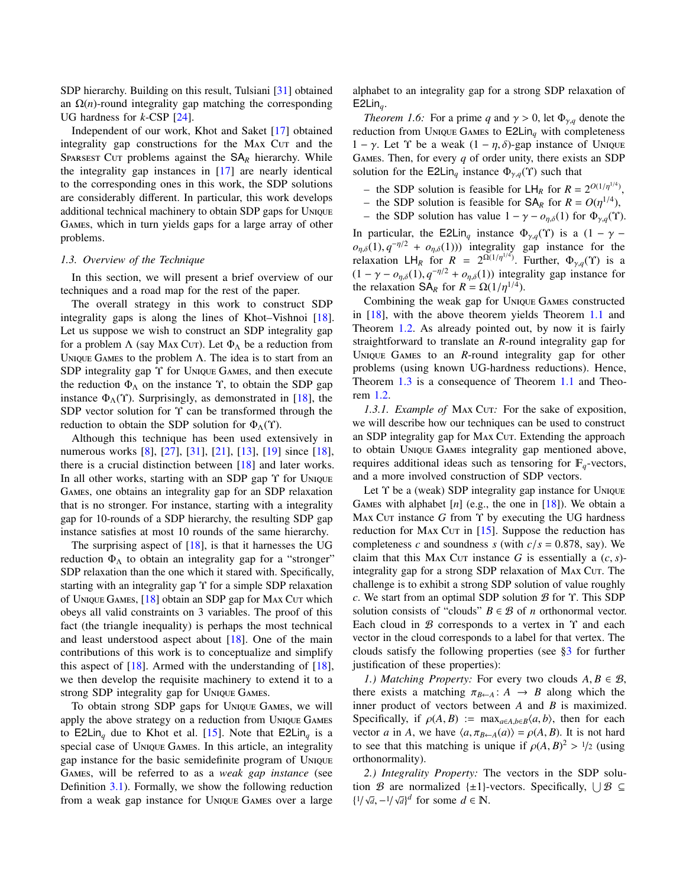SDP hierarchy. Building on this result, Tulsiani [\[31\]](#page-10-13) obtained an  $\Omega(n)$ -round integrality gap matching the corresponding UG hardness for *k*-CSP [\[24\]](#page-10-22).

Independent of our work, Khot and Saket [\[17\]](#page-10-23) obtained integrality gap constructions for the M<sub>AX</sub> C<sub>UT</sub> and the SPARSEST CUT problems against the  $SA<sub>R</sub>$  hierarchy. While the integrality gap instances in [\[17\]](#page-10-23) are nearly identical to the corresponding ones in this work, the SDP solutions are considerably different. In particular, this work develops additional technical machinery to obtain SDP gaps for U GAMES, which in turn yields gaps for a large array of other problems.

## *1.3. Overview of the Technique*

In this section, we will present a brief overview of our techniques and a road map for the rest of the paper.

The overall strategy in this work to construct SDP integrality gaps is along the lines of Khot–Vishnoi [\[18\]](#page-10-0). Let us suppose we wish to construct an SDP integrality gap for a problem  $\Lambda$  (say MAX CUT). Let  $\Phi_{\Lambda}$  be a reduction from UNIQUE GAMES to the problem  $\Lambda$ . The idea is to start from an SDP integrality gap  $\Upsilon$  for UNIQUE GAMES, and then execute the reduction  $\Phi_{\Lambda}$  on the instance  $\Upsilon$ , to obtain the SDP gap instance  $\Phi_{\Lambda}(\Upsilon)$ . Surprisingly, as demonstrated in [\[18\]](#page-10-0), the SDP vector solution for Υ can be transformed through the reduction to obtain the SDP solution for  $\Phi_{\Lambda}(\Upsilon)$ .

Although this technique has been used extensively in numerous works [\[8\]](#page-10-16), [\[27\]](#page-10-17), [\[31\]](#page-10-13), [\[21\]](#page-10-6), [\[13\]](#page-10-7), [\[19\]](#page-10-8) since [\[18\]](#page-10-0), there is a crucial distinction between [\[18\]](#page-10-0) and later works. In all other works, starting with an SDP gap Υ for UNIQUE GAMES, one obtains an integrality gap for an SDP relaxation that is no stronger. For instance, starting with a integrality gap for 10-rounds of a SDP hierarchy, the resulting SDP gap instance satisfies at most 10 rounds of the same hierarchy.

The surprising aspect of [\[18\]](#page-10-0), is that it harnesses the UG reduction  $\Phi_{\Lambda}$  to obtain an integrality gap for a "stronger" SDP relaxation than the one which it stared with. Specifically, starting with an integrality gap Υ for a simple SDP relaxation of UNIQUE GAMES,  $[18]$  obtain an SDP gap for MAX Cut which obeys all valid constraints on 3 variables. The proof of this fact (the triangle inequality) is perhaps the most technical and least understood aspect about  $[18]$ . One of the main contributions of this work is to conceptualize and simplify this aspect of  $[18]$ . Armed with the understanding of  $[18]$ , we then develop the requisite machinery to extend it to a strong SDP integrality gap for UNIQUE GAMES.

To obtain strong SDP gaps for UNIQUE GAMES, we will apply the above strategy on a reduction from UNIQUE GAMES to E2Lin<sub>q</sub> due to Khot et al. [\[15\]](#page-10-3). Note that E2Lin<sub>q</sub> is a special case of UNIQUE GAMES. In this article, an integrality gap instance for the basic semidefinite program of U GAMES, will be referred to as a *weak gap instance* (see Definition [3.1\)](#page-5-0). Formally, we show the following reduction from a weak gap instance for UNIQUE GAMES over a large <span id="page-2-1"></span>alphabet to an integrality gap for a strong SDP relaxation of E2Lin*q*.

*Theorem 1.6:* For a prime *q* and  $\gamma > 0$ , let  $\Phi_{\gamma,q}$  denote the reduction from UNIQUE GAMES to  $E2Lin_q$  with completeness 1 – γ. Let  $\Upsilon$  be a weak  $(1 - \eta, \delta)$ -gap instance of UNIQUE GAMES. Then, for every  $q$  of order unity, there exists an SDP solution for the E2Lin<sub>q</sub> instance  $\Phi_{\gamma,q}(\Upsilon)$  such that

- the SDP solution is feasible for  $LH_R$  for  $R = 2^{O(1/\eta^{1/4})}$
- , – the SDP solution is feasible for  $SA_R$  for  $R = O(\eta^{1/4})$ ,<br>– the SDP solution has value  $1 - \gamma = \rho \epsilon(1)$  for  $\Phi(\gamma)$ .
- the SDP solution has value  $1 \gamma o_{n,δ}(1)$  for  $\Phi_{\gamma,q}(γ)$ .

In particular, the E2Lin<sub>q</sub> instance  $\Phi_{\gamma,q}(Y)$  is a  $(1 - \gamma$  $o_{\eta,\delta}(1), q^{-\eta/2} + o_{\eta,\delta}(1)$ )) integrality gap instance for the relaxation  $H_+$  for  $R = 2^{\Omega(1/\eta^{1/4})}$  Eurther  $\Phi_+$  (Y) is a relaxation LH<sub>R</sub> for  $R = 2^{\Omega(1/\eta^{1/4})}$ . Further,  $\Phi_{\gamma,q}(Y)$  is a  $(1 - \gamma - o_{\eta,\delta}(1), q^{-\eta/2} + o_{\eta,\delta}(1))$  integrality gap instance for<br>the relaxation  $S \mathbf{A}_{\text{D}}$  for  $\mathbf{R} = O(1/n^{1/4})$ the relaxation  $SA_R$  for  $R = \Omega(1/\eta^{1/4})$ .<br>Combining the weak gap for UNIO

Combining the weak gap for UNIQUE GAMES constructed in [\[18\]](#page-10-0), with the above theorem yields Theorem [1.1](#page-1-0) and Theorem [1.2.](#page-1-1) As already pointed out, by now it is fairly straightforward to translate an *R*-round integrality gap for UNIQUE GAMES to an *R*-round integrality gap for other problems (using known UG-hardness reductions). Hence, Theorem [1.3](#page-1-2) is a consequence of Theorem [1.1](#page-1-0) and Theorem [1.2.](#page-1-1)

<span id="page-2-0"></span>*1.3.1. Example of MAX Cut:* For the sake of exposition, we will describe how our techniques can be used to construct an SDP integrality gap for MAX CUT. Extending the approach to obtain UNIQUE GAMES integrality gap mentioned above, requires additional ideas such as tensoring for  $\mathbb{F}_q$ -vectors, and a more involved construction of SDP vectors.

Let  $\Upsilon$  be a (weak) SDP integrality gap instance for UNIQUE GAMES with alphabet  $[n]$  (e.g., the one in  $[18]$ ). We obtain a MAX CUT instance  $G$  from  $\Upsilon$  by executing the UG hardness reduction for MAX Cur in  $[15]$ . Suppose the reduction has completeness *c* and soundness *s* (with  $c/s = 0.878$ , say). We claim that this M<sub>AX</sub> C<sub>UT</sub> instance *G* is essentially a  $(c, s)$ integrality gap for a strong SDP relaxation of MAX CUT. The challenge is to exhibit a strong SDP solution of value roughly *c*. We start from an optimal SDP solution B for Υ. This SDP solution consists of "clouds"  $B \in \mathcal{B}$  of *n* orthonormal vector. Each cloud in  $B$  corresponds to a vertex in  $\Upsilon$  and each vector in the cloud corresponds to a label for that vertex. The clouds satisfy the following properties (see [§3](#page-5-1) for further justification of these properties):

*1.) Matching Property:* For every two clouds  $A, B \in \mathcal{B}$ , there exists a matching  $\pi_{B \leftarrow A}: A \rightarrow B$  along which the inner product of vectors between *A* and *B* is maximized. Specifically, if  $\rho(A, B) := \max_{a \in A, b \in B} \langle a, b \rangle$ , then for each vector *a* in *A*, we have  $\langle a, \pi_{B \leftarrow A}(a) \rangle = \rho(A, B)$ . It is not hard to see that this matching is unique if  $\rho(A, B)^2 > 1/2$  (using orthonormality) orthonormality).

*2.) Integrality Property:* The vectors in the SDP solution B are normalized  $\{\pm 1\}$ -vectors. Specifically,  $\bigcup \mathcal{B} \subseteq$ { 1/  $\sqrt{d}$ , −<sup>1</sup>/ $\sqrt{d}$ }<sup>*d*</sup> for some *d* ∈ **N**.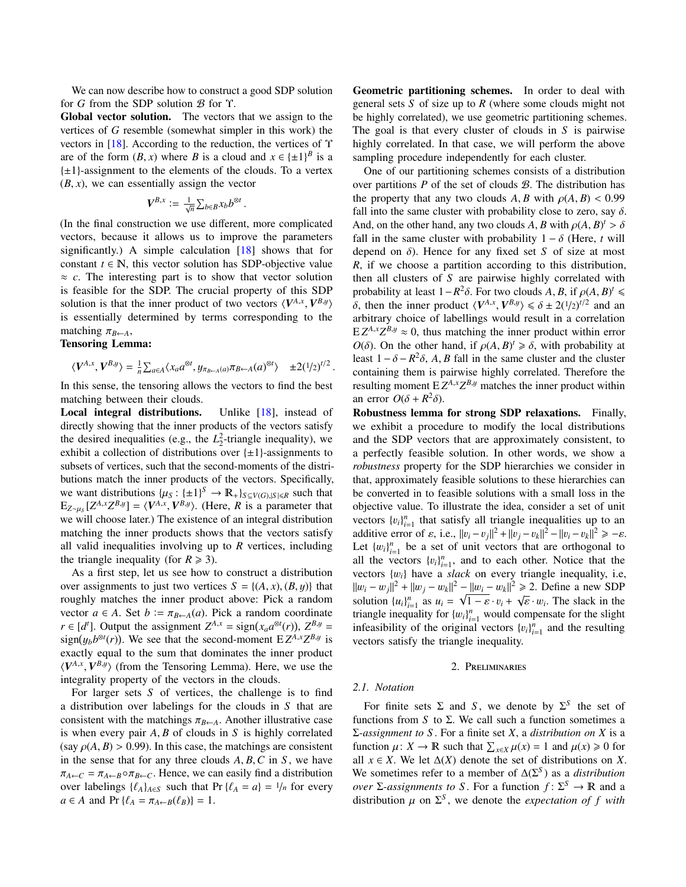We can now describe how to construct a good SDP solution for *G* from the SDP solution B for Υ.

Global vector solution. The vectors that we assign to the vertices of *G* resemble (somewhat simpler in this work) the vectors in [\[18\]](#page-10-0). According to the reduction, the vertices of Υ are of the form  $(B, x)$  where *B* is a cloud and  $x \in \{\pm 1\}^B$  is a  $\{\pm 1\}$ -assignment to the elements of the clouds. To a vertex  $\{\pm 1\}$ -assignment to the elements of the clouds. To a vertex  $(B, x)$ , we can essentially assign the vector

$$
\boldsymbol{V}^{B,x} \mathrel{\mathop:}= \tfrac{1}{\sqrt{n}} \textstyle \sum_{b \in B} x_b b^{\otimes t}
$$

(In the final construction we use different, more complicated vectors, because it allows us to improve the parameters significantly.) A simple calculation [\[18\]](#page-10-0) shows that for constant  $t \in \mathbb{N}$ , this vector solution has SDP-objective value  $\approx c$ . The interesting part is to show that vector solution is feasible for the SDP. The crucial property of this SDP solution is that the inner product of two vectors  $\langle V^{A,x}, V^{B,y} \rangle$ <br>is essentially determined by terms corresponding to the is essentially determined by terms corresponding to the matching  $\pi_{B \leftarrow A}$ ,

## Tensoring Lemma:

$$
\langle V^{A,x}, V^{B,y} \rangle = \frac{1}{n} \sum_{a \in A} \langle x_a a^{\otimes t}, y_{\pi_{B \leftarrow A}(a)} \pi_{B \leftarrow A}(a)^{\otimes t} \rangle \pm 2(1/2)^{t/2}
$$

In this sense, the tensoring allows the vectors to find the best matching between their clouds.

Local integral distributions. Unlike [\[18\]](#page-10-0), instead of directly showing that the inner products of the vectors satisfy the desired inequalities (e.g., the  $L_2^2$ -triangle inequality), we exhibit a collection of distributions over  $\{\pm 1\}$ -assignments to subsets of vertices, such that the second-moments of the distributions match the inner products of the vectors. Specifically, we want distributions  $\{\mu_S : {\pm 1\}^S \to \mathbb{R}_+ \}_{S \subseteq V(G), |S| \le R}$  such that  $\mathbb{R}_r$  is a parameter that  $E_{Z \sim \mu_S}[Z^{A,x}Z^{B,y}] = \langle V^{A,x}, V^{B,y} \rangle$ . (Here, *R* is a parameter that  $W$  is a will choose later). The existence of an integral distribution we will choose later.) The existence of an integral distribution matching the inner products shows that the vectors satisfy all valid inequalities involving up to *R* vertices, including the triangle inequality (for  $R \ge 3$ ).

As a first step, let us see how to construct a distribution over assignments to just two vertices  $S = \{(A, x), (B, y)\}\)$  that roughly matches the inner product above: Pick a random vector  $a \in A$ . Set  $b := \pi_{B \leftarrow A}(a)$ . Pick a random coordinate  $r \in [d^t]$ . Output the assignment  $Z^{A,x} = \text{sign}(x_a a^{\otimes t}(r))$ ,  $Z^{B,y} = \text{sign}(u, b^{\otimes t}(r))$ . We see that the second-moment **E**  $Z^{A,x}Z^{B,y}$  is  $\frac{1}{2}$  sign( $y_b b^{\otimes t}(r)$ ). We see that the second-moment E  $Z^{A,x}Z^{B,y}$  is<br>exactly equal to the sum that dominates the inner product exactly equal to the sum that dominates the inner product  $\langle V^{A,x}, V^{B,y} \rangle$  (from the Tensoring Lemma). Here, we use the integrality property of the vectors in the clouds integrality property of the vectors in the clouds.

For larger sets *S* of vertices, the challenge is to find a distribution over labelings for the clouds in *S* that are consistent with the matchings  $\pi_{B \leftarrow A}$ . Another illustrative case is when every pair *<sup>A</sup>*, *<sup>B</sup>* of clouds in *<sup>S</sup>* is highly correlated (say  $\rho(A, B) > 0.99$ ). In this case, the matchings are consistent in the sense that for any three clouds *<sup>A</sup>*, *<sup>B</sup>*,*<sup>C</sup>* in *<sup>S</sup>* , we have  $\pi_{A \leftarrow C} = \pi_{A \leftarrow B} \circ \pi_{B \leftarrow C}$ . Hence, we can easily find a distribution over labelings  $\{\ell_A\}_{A \in S}$  such that Pr  $\{\ell_A = a\} = \frac{1}{n}$  for every  $a \in A$  and  $Pr \{ \ell_A = \pi_{A \leftarrow B}(\ell_B) \} = 1.$ 

Geometric partitioning schemes. In order to deal with general sets *S* of size up to *R* (where some clouds might not be highly correlated), we use geometric partitioning schemes. The goal is that every cluster of clouds in *S* is pairwise highly correlated. In that case, we will perform the above sampling procedure independently for each cluster.

One of our partitioning schemes consists of a distribution over partitions  $P$  of the set of clouds  $B$ . The distribution has the property that any two clouds  $A, B$  with  $\rho(A, B) < 0.99$ fall into the same cluster with probability close to zero, say  $\delta$ . And, on the other hand, any two clouds *A*, *B* with  $\rho(A, B)$ <sup>*t*</sup> fall in the same cluster with probability  $1 - \delta$  (Here *t*) fall in the same cluster with probability  $1 - \delta$  (Here, *t* will<br>depend on  $\delta$ ). Hence for any fixed set S of size at most depend on  $\delta$ ). Hence for any fixed set *S* of size at most *R*, if we choose a partition according to this distribution, then all clusters of *S* are pairwise highly correlated with probability at least  $1 - R^2 \delta$ . For two clouds *A*, *B*, if  $\rho(A, B)^t \le \delta$  then the inner product  $(V^{A,x} | V^{B,y}) \le \delta + 2(1/\delta)^{t/2}$  and an  $\delta$ , then the inner product  $\langle V^{A,x}, V^{B,y} \rangle \leq \delta \pm 2(1/2)^{t/2}$  and an arbitrary choice of labellings would result in a correlation arbitrary choice of labellings would result in a correlation  $E Z^{A,x} Z^{B,y} \approx 0$ , thus matching the inner product within error *O*(δ). On the other hand, if  $\rho(A, B)^t \ge \delta$ , with probability at least  $1 - \delta - B^2 \delta$ , A R fall in the same cluster and the cluster least  $1 - \delta - R^2 \delta$ , *A*, *B* fall in the same cluster and the cluster containing them is pairwise highly correlated. Therefore the containing them is pairwise highly correlated. Therefore the resulting moment  $E Z^{A,x} Z^{B,y}$  matches the inner product within an error  $O(\delta + R^2 \delta)$ .<br>**Robustness lemma** 

Robustness lemma for strong SDP relaxations. Finally, we exhibit a procedure to modify the local distributions and the SDP vectors that are approximately consistent, to a perfectly feasible solution. In other words, we show a *robustness* property for the SDP hierarchies we consider in that, approximately feasible solutions to these hierarchies can be converted in to feasible solutions with a small loss in the objective value. To illustrate the idea, consider a set of unit vectors  ${v_i}_{i=1}^n$  that satisfy all triangle inequalities up to an additive error of s i.e.  $||v_1 - v_2||^2 + ||v_1 - v_2||^2 - ||v_2 - v_1||^2 > -\infty$ additive error of  $\varepsilon$ , i.e.,  $||v_i - v_j||^2 + ||v_j - v_k||^2 - ||v_i - v_k||^2 \ge -\varepsilon$ .<br>Let  $\lim_{h \to \infty}$  be a set of unit vectors that are orthogonal to Let  ${w_i}_{i=1}^n$  be a set of unit vectors that are orthogonal to sell the vectors  ${h_i}_{i}$  and to each other. Notice that the all the vectors  $\{v_i\}_{i=1}^n$ , and to each other. Notice that the vectors  $\{w_i\}$  have a slack on every triangle inequality i.e. vectors {w*<sup>i</sup>*} have a *slack* on every triangle inequality, i.e,  $||w_i - w_j||^2 + ||w_j - w_k||^2 - ||w_i - w_k||^2 \ge 2$ . Define a new SDP<br>solution  $\{w_i\}^n$  as  $w_i = \sqrt{1 - \varepsilon}$ ,  $w_i + \sqrt{\varepsilon}$ ,  $w_j$ . The slack in the solution  $\{u_i\}_{i=1}^n$  as  $u_i = \sqrt{1 - \varepsilon} \cdot v_i + \sqrt{\varepsilon} \cdot w_i$ . The slack in the straight sequence in the slight triangle inequality for  ${w_i}_{i=1}^n$  would compensate for the slight<br>infeasibility of the original vectors  ${w_i}_{i}^n$  and the resulting infeasibility of the original vectors  ${v_i}_{i=1}^n$  and the resulting vectors satisfy the triangle inequality vectors satisfy the triangle inequality.

## 2. PRELIMINARIES

#### *2.1. Notation*

For finite sets  $\Sigma$  and *S*, we denote by  $\Sigma^S$  the set of functions from *S* to Σ. We call such a function sometimes a Σ*-assignment to S* . For a finite set *X*, a *distribution on X* is a function  $\mu: X \to \mathbb{R}$  such that  $\sum_{x \in X} \mu(x) = 1$  and  $\mu(x) \ge 0$  for all  $x \in X$ . We let  $\Delta(X)$  denote the set of distributions on X all  $x \in X$ . We let  $\Delta(X)$  denote the set of distributions on *X*. We sometimes refer to a member of  $\Delta(\Sigma^S)$  as a *distribution over* Σ-*assignments to* S. For a function  $f: \Sigma^S \to \mathbb{R}$  and a distribution  $\mu$  on  $\Sigma^S$ , we denote the *expectation of*  $f$  *with*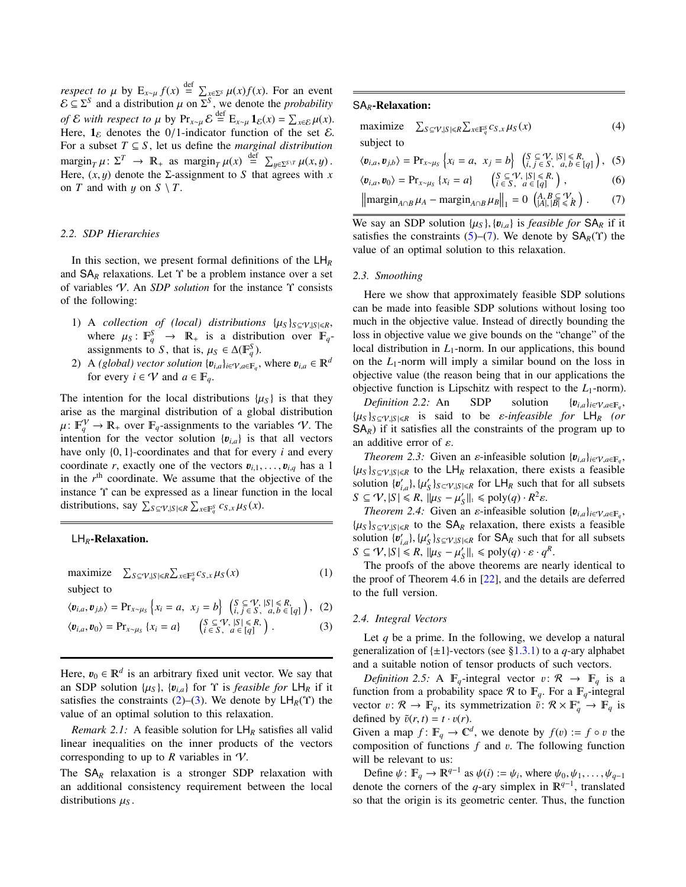*respect to*  $\mu$  by  $E_{x \sim \mu} f(x) \stackrel{\text{def}}{=} \sum_{x \in \Sigma^S} \mu(x) f(x)$ . For an event  $\mathcal{E} \subseteq \Sigma^S$  and a distribution  $\mu$  on  $\Sigma^S$ , we denote the *probability of* E *with respect to*  $\mu$  by Pr<sub>*x∼µ*</sub> E<sup>def</sup> E<sub>*x∼µ*</sub> 1<sub>E</sub>(*x*) =  $\sum_{x \in \mathcal{E}} \mu(x)$ .<br>Here 1<sub>0</sub> denotes the 0/1-indicator function of the set E Here,  $\mathbf{1}_{\varepsilon}$  denotes the 0/1-indicator function of the set  $\varepsilon$ . For a subset  $T \subseteq S$ , let us define the *marginal distribution*  $\arg\!\inf_{T} \mu: \Sigma^{T} \to \mathbb{R}_{+}$  as  $\arg\!\inf_{T} \mu(x) \stackrel{\text{def}}{=} \sum_{y \in \Sigma^{S \setminus T}} \mu(x, y)$ .<br>Here  $(x, u)$  denote the  $\Sigma$ -assignment to  $S$  that agrees with x Here,  $(x, y)$  denote the *Σ*-assignment to *S* that agrees with *x* on *T* and with  $y$  on  $S \setminus T$ .

## *2.2. SDP Hierarchies*

In this section, we present formal definitions of the LH*<sup>R</sup>* and  $SA<sub>R</sub>$  relaxations. Let  $\Upsilon$  be a problem instance over a set of variables V. An *SDP solution* for the instance Υ consists of the following:

- 1) A *collection of (local) distributions*  $\{\mu_S\}_{S \subseteq V, |S| \le R}$ , where  $\mu_S : \mathbb{F}_q^S \to \mathbb{R}_+$  is a distribution over  $\mathbb{F}_q$ -<br>assignments to S, that is  $\mu_S \in \Lambda(\mathbb{F}^S)$ assignments to *S*, that is,  $\mu_S \in \Delta(\mathbb{F}_q^S)$ .<br>A *(alobal)* yester solution  $\{p_i\}$ ,  $\mu_S \in \mathbb{F}_q$ .
- 2) A *(global) vector solution*  $\{v_{i,a}\}_{i \in \mathcal{V}, a \in \mathbb{F}_q}$ , where  $v_{i,a} \in \mathbb{R}^d$  for every  $i \in \mathcal{V}$  and  $a \in \mathbb{F}$ for every  $i \in V$  and  $a \in \mathbb{F}_q$ .

The intention for the local distributions  $\{ \mu_S \}$  is that they arise as the marginal distribution of a global distribution  $\mu: \mathbb{F}_q^V \to \mathbb{R}_+$  over  $\mathbb{F}_q$ -assignments to the variables V. The intention for the vector solution  $\{p_i\}$  is that all vectors intention for the vector solution  ${v_{i,a}}$  is that all vectors have only {0, <sup>1</sup>}-coordinates and that for every *<sup>i</sup>* and every coordinate *r*, exactly one of the vectors  $v_{i,1}, \ldots, v_{i,q}$  has a 1 in the  $r<sup>th</sup>$  coordinate. We assume that the objective of the instance Υ can be expressed as a linear function in the local distributions, say  $\sum_{S \subseteq \mathcal{V}, |S| \le R} \sum_{x \in \mathbb{F}_q^S} c_{S,x} \mu_S(x)$ .

#### LH*R*-Relaxation.

maximize  $S \subseteq V, |S| \le R \sum_{x \in \mathbb{F}_q^S} c_{S,x} \mu_S(x)$  (1) subject to

$$
\langle \boldsymbol{v}_{i,a}, \boldsymbol{v}_{j,b} \rangle = \Pr_{x \sim \mu_S} \left\{ x_i = a, \ x_j = b \right\} \left( \begin{matrix} S \subseteq V, |S| \le R, \\ i, j \in S, \ a, b \in [q] \end{matrix} \right), \ (2)
$$

$$
\langle \boldsymbol{v}_{i,a}, \boldsymbol{v}_0 \rangle = \Pr_{x \sim \mu_S} \{ x_i = a \} \qquad \begin{pmatrix} S \subseteq \mathcal{V}, |S| \leq R, \\ i \in S, & a \in [q] \end{pmatrix} . \tag{3}
$$

Here,  $v_0 \in \mathbb{R}^d$  is an arbitrary fixed unit vector. We say that an SDP solution  $\{u_0\}_{n=1}^{\infty}$  for  $\Upsilon$  is *feasible for*  $1 + \mu$  if it an SDP solution  $\{\mu_S\}$ ,  $\{\mathbf{v}_{i,a}\}$  for  $\Upsilon$  is *feasible for*  $\mathsf{LH}_R$  if it satisfies the constraints  $(2)$ – $(3)$ . We denote by  $LH_R(Y)$  the value of an optimal solution to this relaxation.

*Remark 2.1:* A feasible solution for  $LH_R$  satisfies all valid linear inequalities on the inner products of the vectors corresponding to up to  $R$  variables in  $\mathcal V$ .

The SA*<sup>R</sup>* relaxation is a stronger SDP relaxation with an additional consistency requirement between the local distributions  $\mu<sub>S</sub>$ .

## SA*R*-Relaxation:

<span id="page-4-2"></span>

| maximize<br>$\sum_{S \subseteq \mathcal{V},  S  \le R} \sum_{x \in \mathbb{F}_q^S} c_{S,x} \mu_S(x)$                                                                                                 | (4) |
|------------------------------------------------------------------------------------------------------------------------------------------------------------------------------------------------------|-----|
| subject to                                                                                                                                                                                           |     |
| $\langle v_{i,a}, v_{j,b} \rangle = \Pr_{x \sim \mu_S} \left\{ x_i = a, \ x_j = b \right\} \left( \begin{matrix} S \subseteq V,  S  \leq R, \\ i, j \in S, \ a, b \in [q] \end{matrix} \right),$ (5) |     |
| $\langle v_{i,a}, v_0 \rangle = \Pr_{x \sim \mu_S} \{x_i = a\}$ $\left\{\n \begin{array}{l}\n S \subseteq \mathcal{V},  S  \leq R, \\  i \in S, \ a \in [q]\n \end{array}\n \right\},$               | (6) |
| $\left\  \operatorname{margin}_{A \cap B} \mu_A - \operatorname{margin}_{A \cap B} \mu_B \right\ _1 = 0 \left( \begin{matrix} A, B \subseteq \mathcal{V}, \\  A ,  B  \leq R \end{matrix} \right).$  | (7) |

<span id="page-4-3"></span>We say an SDP solution  $\{\mu_S\}$ ,  $\{\mathbf{v}_{i,a}\}$  is *feasible for*  $SA_R$  if it satisfies the constraints [\(5\)](#page-4-2)–[\(7\)](#page-4-3). We denote by  $SA_R(Y)$  the value of an optimal solution to this relaxation.

## *2.3. Smoothing*

Here we show that approximately feasible SDP solutions can be made into feasible SDP solutions without losing too much in the objective value. Instead of directly bounding the loss in objective value we give bounds on the "change" of the local distribution in *L*<sub>1</sub>-norm. In our applications, this bound on the  $L_1$ -norm will imply a similar bound on the loss in objective value (the reason being that in our applications the objective function is Lipschitz with respect to the  $L_1$ -norm).

*Definition 2.2:* An SDP solution  $\{v_{i,a}\}_{i \in V, a \in \mathbb{F}_q}$ ,  $\{\mu_S\}_{S \subseteq V, |S| \le R}$  is said to be *ε-infeasible for* LH<sub>*R*</sub> *(or* SA<sub>n</sub>) if it satisfies all the constraints of the program up to  $SA<sub>R</sub>$ ) if it satisfies all the constraints of the program up to an additive error of  $\varepsilon$ .

<span id="page-4-4"></span>*Theorem 2.3:* Given an  $\varepsilon$ -infeasible solution  $\{v_{i,a}\}_{i\in\mathcal{V},a\in\mathbb{F}_a}$ ,  $\{\mu_S\}_{S \subseteq V, |S| \le R}$  to the LH<sub>R</sub> relaxation, there exists a feasible<br>solution  $\{n' \}$   $\{u'\}_{S \subseteq U, |S| \le R}$  for LH<sub>R</sub> such that for all subsets solution  $\{v'_{i,a}\}, \{\mu'_{S}\}_{S\subset V, |S|\leq R}$  for  $\Box H_R$  such that for all subsets<br> $S \subset \mathcal{U} \setminus S \subset R$   $\Box U_{\mathcal{U} \subset \mathcal{U}} \cup \Box V(\mathcal{U}) \subset R^2$ *S*  $\subseteq$  V,  $|S| \le R$ ,  $||\mu_S - \mu'_S||_1 \le \text{poly}(q) \cdot R^2$ <br> *S*  $\subseteq$  V,  $|S| \le R$ ,  $||\mu_S - \mu'_S||_1 \le \text{poly}(q) \cdot R^2$ 

<span id="page-4-5"></span>*Theorem 2.4:* Given an  $\varepsilon$ -infeasible solution  $\{v_{i,a}\}_{i\in V, a\in F_q}$ <br>classive in to the SA<sub>p</sub> relaxation there exists a feasible  $\{\mu_S\}_{S \subseteq V, |S| \le R}$  to the  $SA_R$  relaxation, there exists a feasible<br>solution  $\{\mu' \}\mathcal{U}'$  because for  $SA_R$  such that for all subsets solution  $\{u'_{i,a}\}, \{\mu'_{S}\}_{S \subseteq \gamma, |S| \le R}$  for  $SA_R$  such that for all subsets  $S \subseteq \gamma! |S| \le R! |U_{\gamma} - U'|\le R! |S| \le R$ *S*  $\subseteq$  *V*,  $|S| \le R$ ,  $||\mu_S - \mu'_S||_1 \le \text{poly}(q) \cdot \varepsilon \cdot q^R$ <br> *S*  $\subseteq$  *V*,  $|S| \le R$ ,  $||\mu_S - \mu'_S||_1 \le \text{poly}(q) \cdot \varepsilon \cdot q^R$ 

The proofs of the above theorems are nearly identical to the proof of Theorem 4.6 in [\[22\]](#page-10-10), and the details are deferred to the full version.

#### <span id="page-4-1"></span><span id="page-4-0"></span>*2.4. Integral Vectors*

Let *q* be a prime. In the following, we develop a natural generalization of  $\{\pm 1\}$ -vectors (see [§1.3.1\)](#page-2-0) to a *q*-ary alphabet and a suitable notion of tensor products of such vectors.

*Definition 2.5:* A  $\mathbb{F}_q$ -integral vector  $v: \mathcal{R} \to \mathbb{F}_q$  is a function from a probability space R to  $\mathbb{F}_q$ . For a  $\mathbb{F}_q$ -integral vector  $v: \mathcal{R} \to \mathbb{F}_q$ , its symmetrization  $\vec{v}: \mathcal{R} \times \mathbb{F}_q^* \to \mathbb{F}_q$  is defined by  $\tilde{v}(r, t) = t \cdot v(r)$ defined by  $\tilde{v}(r, t) = t \cdot v(r)$ .

Given a map  $f: \mathbb{F}_q \to \mathbb{C}^d$ , we denote by  $f(v) := f \circ v$  the composition of functions f and *v*. The following function composition of functions *<sup>f</sup>* and v. The following function will be relevant to us:

Define  $\psi$ :  $\mathbb{F}_q \to \mathbb{R}^{q-1}$  as  $\psi(i) := \psi_i$ , where  $\psi_0, \psi_1, \dots, \psi_{q-1}$ <br>note the corners of the *a*-ary simplex in  $\mathbb{R}^{q-1}$  translated denote the corners of the *q*-ary simplex in  $\mathbb{R}^{q-1}$ , translated so that the origin is its geometric center. Thus, the function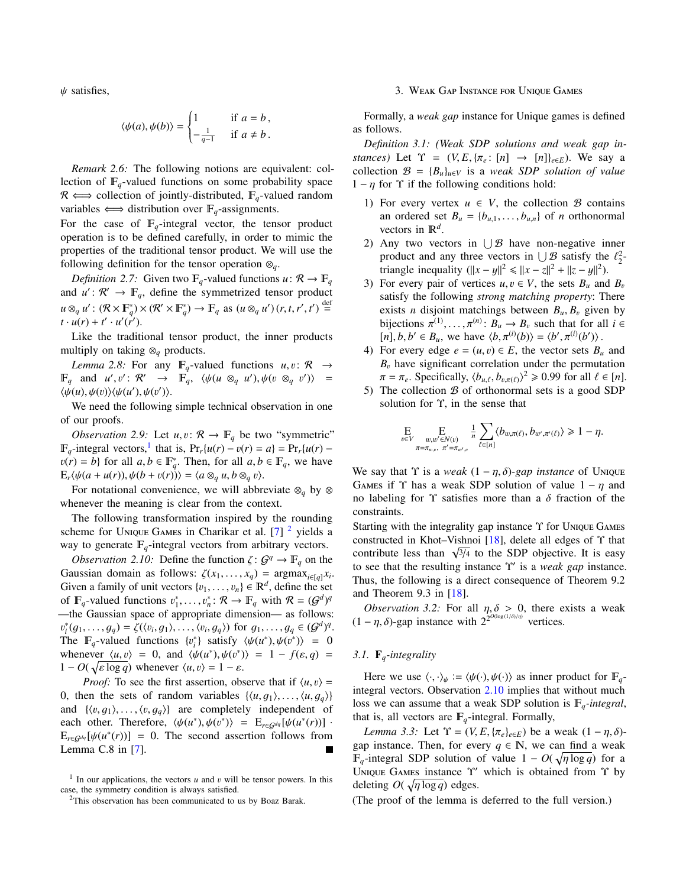$\psi$  satisfies,

$$
\langle \psi(a), \psi(b) \rangle = \begin{cases} 1 & \text{if } a = b, \\ -\frac{1}{q-1} & \text{if } a \neq b. \end{cases}
$$

*Remark 2.6:* The following notions are equivalent: collection of  $\mathbb{F}_q$ -valued functions on some probability space  $\mathcal{R} \Longleftrightarrow$  collection of jointly-distributed,  $\mathbb{F}_q$ -valued random variables  $\Longleftrightarrow$  distribution over  $\mathbb{F}_q$ -assignments.

For the case of  $\mathbb{F}_q$ -integral vector, the tensor product operation is to be defined carefully, in order to mimic the properties of the traditional tensor product. We will use the following definition for the tensor operation  $\otimes_q$ .

*Definition 2.7:* Given two  $\mathbb{F}_q$ -valued functions  $u: \mathcal{R} \to \mathbb{F}_q$ and  $u' : \mathcal{R}' \to \mathbb{F}_q$ , define the symmetrized tensor product  $u \otimes_q u' : (\mathcal{R} \times \mathbb{F}_q^*) \times (\mathcal{R}' \times \mathbb{F}_q^*) \to \mathbb{F}_q$  as  $(u \otimes_q u')(r, t, r', t') \stackrel{\text{def}}{=}$ <br>*t*,  $u(r) + t'$ ,  $u'(r')$  $t \cdot u(r) + t' \cdot u'(r').$ 

<span id="page-5-7"></span>Like the traditional tensor product, the inner products multiply on taking ⊗*<sup>q</sup>* products.

*Lemma 2.8:* For any  $\mathbb{F}_q$ -valued functions  $u, v: \mathcal{R} \rightarrow$  $\mathbb{F}_q$  and *u'*, *v'*:  $\mathcal{R}' \rightarrow \mathbb{F}_q$ ,  $\langle \psi(u \otimes_q u'), \psi(v \otimes_q v') \rangle =$ <br> $\langle \psi(u), \psi(v) \rangle \langle \psi(u') \rangle \langle \psi(v') \rangle$  $\langle \psi(u), \psi(v) \rangle \langle \psi(u'), \psi(v') \rangle.$ <br>We need the following

We need the following simple technical observation in one of our proofs.

<span id="page-5-6"></span>*Observation 2.9:* Let  $u, v: \mathcal{R} \to \mathbb{F}_q$  be two "symmetric"  $\mathbb{F}_q$ -integral vectors,<sup>[1](#page-5-2)</sup> that is,  $\Pr_r\{u(r) - v(r) = a\} = \Pr_r\{u(r) - v(r) = b\}$  for all *a*  $b \in \mathbb{F}^*$ . Then for all *a*  $b \in \mathbb{F}$ , we have  $v(r) = b$ } for all  $a, b \in \mathbb{F}_q^*$ . Then, for all  $a, b \in \mathbb{F}_q$ , we have  $E_r\langle \psi(a + u(r)), \psi(b + v(r)) \rangle = \langle a \otimes_q u, b \otimes_q v \rangle.$ 

For notational convenience, we will abbreviate ⊗*<sup>q</sup>* by ⊗ whenever the meaning is clear from the context.

The following transformation inspired by the rounding scheme for UNIQUE GAMES in Charikar et al.  $[7]$ <sup>[2](#page-5-3)</sup> yields a way to generate  $\mathbb{F}_q$ -integral vectors from arbitrary vectors.

*Observation 2.10:* Define the function  $\zeta: G^q \to \mathbb{F}_q$  on the pussion domain as follows:  $\zeta(x, y) = \text{argmax}_{y \in \mathcal{X}}$ Gaussian domain as follows:  $\zeta(x_1, \ldots, x_q) = \operatorname{argmax}_{i \in [q]} x_i$ .<br>Given a family of unit vectors  $f_1, \ldots, f_k \in \mathbb{R}^d$  define the set Given a family of unit vectors  $\{v_1, \ldots, v_n\} \in \mathbb{R}^d$ , define the set<br>of E-valued functions  $v^* \sim v^* \cdot \mathcal{R} \rightarrow \mathbb{R}$  with  $\mathcal{R} = (G^d)^q$ of  $\mathbb{F}_q$ -valued functions  $v_1^*, \ldots, v_n^* \colon \mathcal{R} \to \mathbb{F}_q$  with  $\mathcal{R} = (\mathcal{G}^d)^q$ <br>the Gaussian space of appropriate dimension as follows —the Gaussian space of appropriate dimension— as follows: The  $\mathbb{F}_q$ -valued functions  $\{v_i^*\}$  satisfy  $\langle \psi(u^*), \psi(v^*) \rangle = 0$ <br>whenever  $\langle u, v \rangle = 0$  and  $\langle \psi(u^*) , \psi(v^*) \rangle = 1 - f(s, a)$  $i_l^*(g_1,\ldots,g_q) = \zeta(\langle v_i,g_1 \rangle,\ldots,\langle v_i,g_q \rangle)$  for  $g_1,\ldots,g_q \in (G^d)^q$ .<br>
The  $\mathbb{F}_q$ -valued functions  $\{v_i^*\}$  satisfy  $\langle u_i^*(v_i^*) \rangle, \langle u_i^*(v_i^*) \rangle = 0$ . whenever  $\langle u, v \rangle = 0$ , and  $\langle \psi(u^*), \psi(v^*) \rangle = 1 - f(\varepsilon, q) = 1 - O(\sqrt{\varepsilon \log a})$  whenever  $\langle u, v \rangle = 1 - \varepsilon$  $1 - O(\sqrt{\varepsilon \log q})$  whenever  $\langle u, v \rangle = 1 - \varepsilon$ .<br>*Proof:* To see the first essertion obtained

*Proof:* To see the first assertion, observe that if  $\langle u, v \rangle =$ 0, then the sets of random variables  $\{\langle u, g_1 \rangle, \ldots, \langle u, g_q \rangle\}$ and  $\{\langle v, q_1 \rangle, \ldots, \langle v, q_n \rangle\}$  are completely independent of each other. Therefore,  $\langle \psi(u^*), \psi(v^*) \rangle = E_{r \in \mathcal{G}^{dq}}[\psi(u^*(r))]$ .<br>  $E_{rel}(\psi(u^*(r))) = 0$ . The second assertion follows from  $E_{re\mathcal{G}^{dq}}[\psi(u^*(r))] = 0$ . The second assertion follows from  $I$  emma C 8 in [7] Lemma C.8 in [\[7\]](#page-10-24).

#### 3. WEAK GAP INSTANCE FOR UNIQUE GAMES

<span id="page-5-1"></span>Formally, a *weak gap* instance for Unique games is defined as follows.

<span id="page-5-0"></span>*Definition 3.1: (Weak SDP solutions and weak gap instances*) Let  $\Upsilon = (V, E, \{ \pi_e : [n] \rightarrow [n] \}_{e \in E})$ . We say a collection  $\mathcal{B} = \{B_u\}_{u \in V}$  is a *weak SDP solution of value*  $1 - \eta$  for  $\Upsilon$  if the following conditions hold:

- 1) For every vertex  $u \in V$ , the collection  $\mathcal B$  contains an ordered set  $B_u = \{b_{u,1}, \ldots, b_{u,n}\}\$  of *n* orthonormal vectors in  $\mathbb{R}^d$ .
- 2) Any two vectors in  $\bigcup \mathcal{B}$  have non-negative inner product and any three vectors in  $\bigcup \mathcal{B}$  satisfy the  $\ell_2^2$ -<br>triangle inequality  $(\mathbf{F} - \mathbf{y}\mathbf{E}^2 < \mathbf{F} - \mathbf{y}\mathbf{E}^2 + \mathbf{F} - \mathbf{y}\mathbf{E}^2)$ triangle inequality  $(\|x - y\|^2 \le \|x - z\|^2 + \|z - y\|^2)$ .<br>For every pair of vertices  $\mu, \mu \in V$ , the sets *B* and
- 3) For every pair of vertices  $u, v \in V$ , the sets  $B_u$  and  $B_v$ satisfy the following *strong matching property*: There exists *n* disjoint matchings between  $B_u, B_v$  given by bijections  $\pi^{(1)}, \ldots, \pi^{(n)}: B_u \to B_v$  such that for all  $i \in$ <br> $\lceil n \rceil b$  by  $\in R$  we have  $\lceil b \rceil \pi^{(i)}(b) \rceil - \lceil b' \rceil \pi^{(i)}(b') \rceil$  $[n], b, b' \in B_u$ , we have  $\langle b, \pi^{(i)}(b) \rangle = \langle b', \pi^{(i)}(b') \rangle$ .<br>For every edge  $e = (u, v) \in F$ , the vector sets *R*
- <span id="page-5-5"></span>4) For every edge  $e = (u, v) \in E$ , the vector sets  $B_u$  and  $B<sub>v</sub>$  have significant correlation under the permutation  $\pi = \pi_e$ . Specifically,  $\langle b_{u,\ell}, b_{v,\pi(\ell)} \rangle^2 \ge 0.99$  for all  $\ell \in [n]$ .<br>The collection B of orthonormal sets is a good SDP.
- 5) The collection  $\beta$  of orthonormal sets is a good SDP solution for Υ, in the sense that

$$
\underset{v \in V}{\mathbb{E}} \underset{\pi = \pi_{w,v}}{\mathbb{E}} \underset{\pi' = \pi_{w,v}}{\mathbb{E}} \frac{1}{n} \sum_{\ell \in [n]} \langle b_{w,\pi(\ell)}, b_{w',\pi'(\ell)} \rangle \geq 1 - \eta.
$$

We say that  $\Upsilon$  is a *weak*  $(1 - \eta, \delta)$ -gap *instance* of UNIQUE GAMES if  $\Upsilon$  has a weak SDP solution of value  $1 - \eta$  and no labeling for  $\Upsilon$  satisfies more than a δ fraction of the constraints.

<span id="page-5-4"></span>Starting with the integrality gap instance  $\Upsilon$  for UNIQUE GAMES constructed in Khot–Vishnoi  $[18]$ , delete all edges of  $\Upsilon$  that constructed in Knot–visition [18], defect an edges of 1 that<br>contribute less than  $\sqrt{3}/4$  to the SDP objective. It is easy<br>to see that the resulting instance  $\hat{y}'$  is a weak gan instance to see that the resulting instance Υ' is a *weak gap* instance. Thus, the following is a direct consequence of Theorem 9.2 and Theorem 9.3 in  $[18]$ .

<span id="page-5-9"></span>*Observation 3.2:* For all  $\eta$ ,  $\delta > 0$ , there exists a weak  $-\eta$ ,  $\delta$ )-gan instance with  $2^{2^{O(\log(1/\delta)/\eta)}}$  vertices  $(1 - \eta, \delta)$ -gap instance with  $2^{2^{O(\log(1/\delta)/\eta)}}$  vertices.

#### *3.1.* F*q-integrality*

Here we use  $\langle \cdot, \cdot \rangle_{\psi} := \langle \psi(\cdot), \psi(\cdot) \rangle$  as inner product for  $\mathbb{F}_q$ integral vectors. Observation [2.10](#page-5-4) implies that without much loss we can assume that a weak SDP solution is  $\mathbb{F}_q$ -integral, that is, all vectors are  $F_q$ -integral. Formally,

<span id="page-5-8"></span>*Lemma 3.3:* Let  $\Upsilon = (V, E, \{\pi_e\}_{e \in E})$  be a weak  $(1 - \eta, \delta)$ gap instance. Then, for every  $q \in \mathbb{N}$ , we can find a weak  $\mathbb{F}_q$ -integral SDP solution of value  $1 - O(\sqrt{\eta \log q})$  for a log *q*) for a log *q*  $\chi$  which is obtained from  $\gamma$  by UNIQUE GAMES instance Y' which is obtained from Y by deleting  $O(\sqrt{\eta \log q})$  edges.

(The proof of the lemma is deferred to the full version.)

<span id="page-5-2"></span><sup>&</sup>lt;sup>1</sup> In our applications, the vectors *u* and *v* will be tensor powers. In this se the symmetry condition is always satisfied case, the symmetry condition is always satisfied.

<span id="page-5-3"></span><sup>&</sup>lt;sup>2</sup>This observation has been communicated to us by Boaz Barak.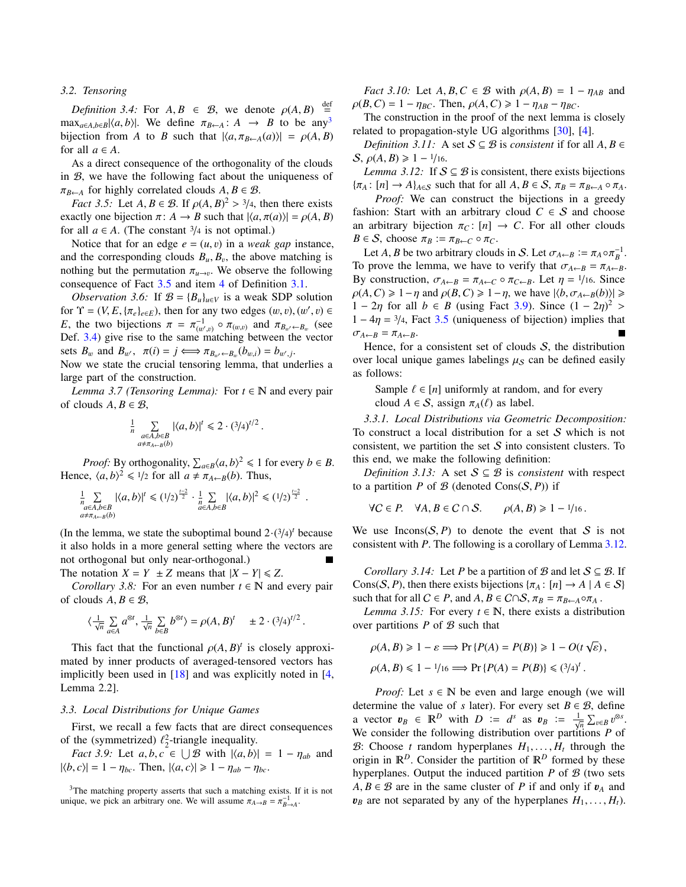## *3.2. Tensoring*

<span id="page-6-2"></span>*Definition 3.4:* For  $A, B \in \mathcal{B}$ , we denote  $\rho(A, B)$ def  $\equiv$  $\max_{a \in A, b \in B} |\langle a, b \rangle|$ . We define  $\pi_{B \leftarrow A} : A \rightarrow B$  to be any<sup>[3](#page-6-0)</sup> bijection from *A* to *B* such that  $|\langle a, \pi_{B \leftarrow A}(a) \rangle| = \rho(A, B)$ for all  $a \in A$ .

As a direct consequence of the orthogonality of the clouds in B, we have the following fact about the uniqueness of  $\pi_{B \leftarrow A}$  for highly correlated clouds  $A, B \in \mathcal{B}$ .

*Fact 3.5:* Let  $A, B \in \mathcal{B}$ . If  $\rho(A, B)^2 > \frac{3}{4}$ , then there exists actly one bijection  $\pi: A \to B$  such that  $|A \pi(a)| = \rho(A, B)$ exactly one bijection  $\pi: A \to B$  such that  $|\langle a, \pi(a) \rangle| = \rho(A, B)$ for all  $a \in A$ . (The constant  $\frac{3}{4}$  is not optimal.)

Notice that for an edge  $e = (u, v)$  in a *weak gap* instance, and the corresponding clouds  $B_u$ ,  $B_v$ , the above matching is<br>nothing but the permutation  $\pi$ . We observe the following nothing but the permutation  $\pi_{u \to v}$ . We observe the following consequence of Eact 3.5 and item 4 of Definition 3.1 consequence of Fact [3.5](#page-6-1) and item [4](#page-5-5) of Definition [3.1.](#page-5-0)

*Observation 3.6:* If  $\mathcal{B} = \{B_u\}_{u \in V}$  is a weak SDP solution for  $\Upsilon = (V, E, \{\pi_e\}_{e \in E})$ , then for any two edges  $(w, v), (w', v) \in$ <br>*F* the two bijections  $\pi = \pi^{-1}$  or and  $\pi_{R}$  and  $\pi_{R}$  (see *E*, the two bijections  $\pi = \pi_{(w',v)}^{-1} \circ \pi_{(w,v)}$  and  $\pi_{B_{w'} \leftarrow B_w}$  (see Def 3.4) give rise to the same matching between the vector  $D$ ef. [3.4\)](#page-6-2) give rise to the same matching between the vector sets  $B_w$  and  $B_{w'}$ ,  $\pi(i) = j \iff \pi_{B_{w'} \leftarrow B_w}(b_{w,i}) = b_{w',j}$ .<br>Now we state the crucial tensoring lemma, that ung

Now we state the crucial tensoring lemma, that underlies a large part of the construction.

*Lemma 3.7 (Tensoring Lemma):* For  $t \in \mathbb{N}$  and every pair of clouds  $A, B \in \mathcal{B}$ ,

<span id="page-6-7"></span>
$$
\frac{1}{n} \sum_{\substack{a \in A, b \in B \\ a \neq \pi_{A \leftarrow B}(b)}} |\langle a, b \rangle|^t \leq 2 \cdot (3/4)^{t/2}.
$$

*Proof:* By orthogonality,  $\sum_{a \in B} \langle a, b \rangle^2 \le 1$  for every  $b \in B$ . Hence,  $\langle a, b \rangle^2 \leq 1/2$  for all  $a \neq \pi_{A \leftarrow B}(b)$ . Thus,

$$
\frac{1}{n} \sum_{\substack{a \in A, b \in B \\ a \neq \pi_{A \leftarrow B}(b)}} |\langle a, b \rangle|^t \leq (1/2)^{\frac{t-2}{2}} \cdot \frac{1}{n} \sum_{a \in A, b \in B} |\langle a, b \rangle|^2 \leq (1/2)^{\frac{t-2}{2}}.
$$

(In the lemma, we state the suboptimal bound  $2 \cdot (3/4)^t$  because<br>it also holds in a more general setting where the vectors are it also holds in a more general setting where the vectors are not orthogonal but only near-orthogonal.)

The notation  $X = Y \pm Z$  means that  $|X - Y| \le Z$ .

*Corollary 3.8:* For an even number  $t \in \mathbb{N}$  and every pair of clouds  $A, B \in \mathcal{B}$ ,

$$
\langle \tfrac{1}{\sqrt{n}} \sum_{a \in A} a^{\otimes t}, \tfrac{1}{\sqrt{n}} \sum_{b \in B} b^{\otimes t} \rangle = \rho(A,B)^t \quad \pm 2 \cdot (3/4)^{t/2} \, .
$$

This fact that the functional  $\rho(A, B)^t$  is closely approxi-<br>ted by inner products of averaged-tensored vectors has mated by inner products of averaged-tensored vectors has implicitly been used in  $[18]$  and was explicitly noted in  $[4, 1]$  $[4, 1]$ Lemma 2.2].

## *3.3. Local Distributions for Unique Games*

First, we recall a few facts that are direct consequences of the (symmetrized)  $\ell_2^2$ -triangle inequality.<br>
Eact 3.9: Let a b c  $\epsilon$  |  $\vert$  B with  $\vert$  a b)

*Fact 3.9:* Let  $a, b, c \in \bigcup \mathcal{B}$  with  $|\langle a, b \rangle| = 1 - \eta_{ab}$  and  $|b| = 1 - \eta_a$ . Then  $|\langle a, c \rangle| > 1 - \eta_a$ .  $|\langle b, c \rangle| = 1 - \eta_{bc}$ . Then,  $|\langle a, c \rangle| \geq 1 - \eta_{ab} - \eta_{bc}$ .

<span id="page-6-0"></span><sup>3</sup>The matching property asserts that such a matching exists. If it is not unique, we pick an arbitrary one. We will assume  $\pi_{A \to B} = \pi_{B \to A}^{-1}$ .

*Fact 3.10:* Let  $A, B, C \in \mathcal{B}$  with  $\rho(A, B) = 1 - \eta_{AB}$  and  $\rho(B, C) = 1 - \eta_{BC}$ . Then,  $\rho(A, C) \geq 1 - \eta_{AB} - \eta_{BC}$ .

The construction in the proof of the next lemma is closely related to propagation-style UG algorithms [\[30\]](#page-10-25), [\[4\]](#page-9-4).

*Definition 3.11:* A set  $S \subseteq B$  is *consistent* if for all  $A, B \in$  $S, \rho(A, B) \geq 1 - \frac{1}{16}.$ 

<span id="page-6-4"></span><span id="page-6-1"></span>*Lemma 3.12:* If  $S \subseteq B$  is consistent, there exists bijections  ${\pi_A : [n] \to A}_{A \in S}$  such that for all  $A, B \in S$ ,  ${\pi_B = \pi_{B \leftarrow A} \circ \pi_A}$ .

*Proof:* We can construct the bijections in a greedy fashion: Start with an arbitrary cloud  $C \in S$  and choose an arbitrary bijection  $\pi_C$ :  $[n] \rightarrow C$ . For all other clouds  $B \in S$ , choose  $\pi_B := \pi_{B \leftarrow C} \circ \pi_C$ .

<span id="page-6-9"></span>Let *A*, *B* be two arbitrary clouds in *S*. Let  $\sigma_{A \leftarrow B} := \pi_A \circ \pi_B^{-1}$ . To prove the lemma, we have to verify that  $\sigma_{A \leftarrow B} = \pi_{A \leftarrow B}$ . By construction,  $\sigma_{A \leftarrow B} = \pi_{A \leftarrow C} \circ \pi_{C \leftarrow B}$ . Let  $\eta = \frac{1}{16}$ . Since  $\rho(A, C) \geq 1 - \eta$  and  $\rho(B, C) \geq 1 - \eta$ , we have  $|\langle b, \sigma_{A \leftarrow B}(b) \rangle| \geq 1$ 1 − 2η for all *b* ∈ *B* (using Fact [3.9\)](#page-6-3). Since  $(1 - 2η)^2$ <br>1 − 4n − 3/4 Fact 3.5 (uniqueness of bijection) implies to  $1 - 4\eta = \frac{3}{4}$ , Fact [3.5](#page-6-1) (uniqueness of bijection) implies that  $\sigma_{A \leftarrow B} = \pi_{A \leftarrow B}$ .

Hence, for a consistent set of clouds  $S$ , the distribution over local unique games labelings  $\mu<sub>S</sub>$  can be defined easily as follows:

Sample  $\ell \in [n]$  uniformly at random, and for every cloud  $A \in S$ , assign  $\pi_A(\ell)$  as label.

*3.3.1. Local Distributions via Geometric Decomposition:* To construct a local distribution for a set  $S$  which is not consistent, we partition the set  $S$  into consistent clusters. To this end, we make the following definition:

*Definition 3.13:* A set  $S \subseteq B$  is *consistent* with respect to a partition *P* of *B* (denoted  $Cons(S, P)$ ) if

$$
\forall C \in P. \quad \forall A, B \in C \cap S. \qquad \rho(A, B) \geq 1 - \frac{1}{16}.
$$

We use Incons $(S, P)$  to denote the event that S is not consistent with *P*. The following is a corollary of Lemma [3.12.](#page-6-4)

<span id="page-6-8"></span><span id="page-6-5"></span>*Corollary 3.14:* Let *P* be a partition of B and let  $S \subseteq B$ . If Cons(S, P), then there exists bijections  $\{\pi_A : [n] \to A \mid A \in S\}$ such that for all  $C \in P$ , and  $A, B \in C \cap S$ ,  $\pi_B = \pi_{B \leftarrow A} \circ \pi_A$ .

<span id="page-6-6"></span>*Lemma 3.15:* For every  $t \in \mathbb{N}$ , there exists a distribution over partitions  $P$  of  $B$  such that

$$
\rho(A, B) \ge 1 - \varepsilon \Longrightarrow \Pr\{P(A) = P(B)\} \ge 1 - O(t\sqrt{\varepsilon}),
$$
  

$$
\rho(A, B) \le 1 - \frac{1}{16} \Longrightarrow \Pr\{P(A) = P(B)\} \le (\frac{3}{4})^t.
$$

<span id="page-6-3"></span>*Proof:* Let  $s \in \mathbb{N}$  be even and large enough (we will determine the value of *s* later). For every set  $B \in \mathcal{B}$ , define a vector  $v_B \in \mathbb{R}^D$  with  $D := d^s$  as  $v_B := \frac{1}{\sqrt{n}} \sum_{v \in B} v^{\otimes s}$ .<br>We consider the following distribution over partitions *P* of We consider the following distribution over partitions *P* of B: Choose *t* random hyperplanes  $H_1, \ldots, H_t$  through the origin in  $\mathbb{R}^D$  Consider the partition of  $\mathbb{R}^D$  formed by these origin in  $\mathbb{R}^D$ . Consider the partition of  $\mathbb{R}^D$  formed by these hyperplanes. Output the induced partition  $P$  of  $B$  (two sets  $A, B \in \mathcal{B}$  are in the same cluster of *P* if and only if  $v_A$  and  $v_B$  are not separated by any of the hyperplanes  $H_1, \ldots, H_t$ ).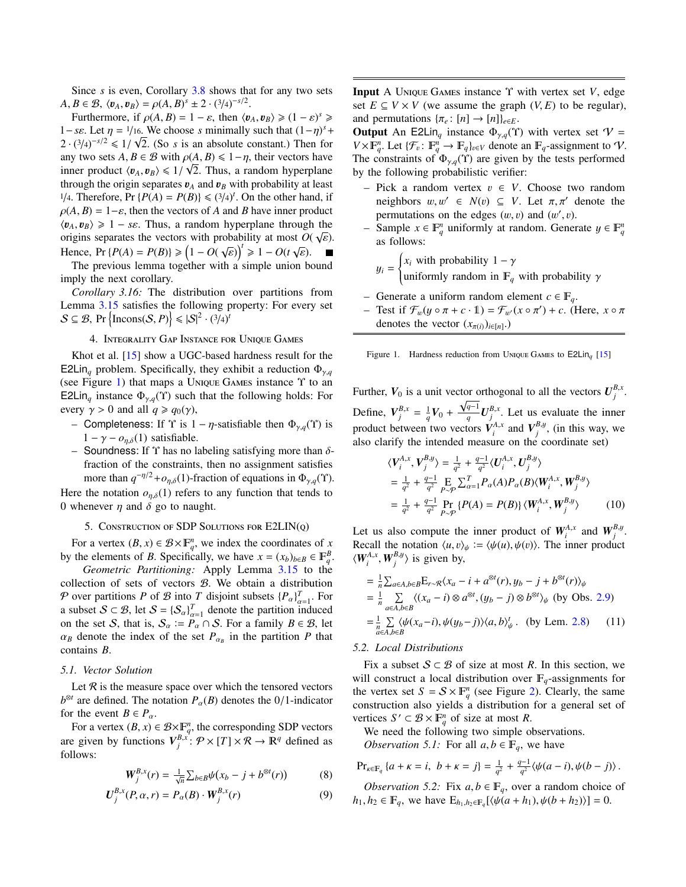Since *s* is even, Corollary [3.8](#page-6-5) shows that for any two sets  $A, B \in \mathcal{B}, \langle v_A, v_B \rangle = \rho(A, B)^s \pm 2 \cdot (3/4)^{-s/2}.$ <br>
Furthermore if  $\rho(A, B) = 1 - \varepsilon$  then  $\langle v \rangle$ 

Furthermore, if  $\rho(A, B) = 1 - \varepsilon$ , then  $\langle v_A, v_B \rangle \geq (1 - \varepsilon)^s \geq 0$ <br>*s* as Let  $n = 1/\sqrt{16}$ . We choose s minimally such that  $(1 - n)^s$ . 1−*sε*. Let  $\eta = 1/16$ . We choose *s* minimally such that  $(1 - \eta)^s + 2$ ,  $(3/\sqrt{2})^s / 2 < 1/\sqrt{2}$ . (So *s* is an absolute constant). Then for  $2 \cdot (3/4)^{-s/2} \le 1/\sqrt{2}$ . (So *s* is an absolute constant.) Then for any two sets  $A, B \in \mathcal{B}$  with  $\rho(A, B) \leq 1 - \eta$ , their vectors have<br>inner product  $\langle n_1, n_2 \rangle \leq 1/\sqrt{2}$ . Thus, a random hyperplane inner product  $\langle v_A, v_B \rangle \leq 1/\sqrt{2}$ . Thus, a random hyperplane<br>through the origin separates  $v_A$  and  $v_B$  with probability at least through the origin separates  $v_A$  and  $v_B$  with probability at least <sup>1</sup>/4. Therefore, Pr { $P(A) = P(B)$ }  $\leq$  ( $3/4$ )<sup>*t*</sup>. On the other hand, if  $Q(A \mid B) = 1 - \varepsilon$  then the vectors of A and B have inner product  $\rho(A, B) = 1-\varepsilon$ , then the vectors of *A* and *B* have inner product  $\langle v_A, v_B \rangle \ge 1 - s \varepsilon$ . Thus, a random hyperplane through the origins separates the vectors with probability at most  $O(\sqrt{s})$ origins separates the vectors with probability at most  $O(\sqrt{\varepsilon})$ .<br>Hence  $\Pr(B(A) - B(B)) \geq (1 - O(\sqrt{\varepsilon}))^t \geq 1 - O(\varepsilon/\varepsilon)$ Hence, Pr {*P*(*A*) = *P*(*B*)}  $\geq$   $\left(1 - O(\sqrt{\varepsilon})\right)^t \geq 1 - O(t\sqrt{\varepsilon})$ .<br>The previous lemma together with a simple union by

The previous lemma together with a simple union bound imply the next corollary.

*Corollary 3.16:* The distribution over partitions from Lemma [3.15](#page-6-6) satisfies the following property: For every set  $S \subseteq B$ , Pr  $\left\{ \text{Incons}(S, P) \right\} \leqslant |S|^2 \cdot (3/4)^t$ 

#### <span id="page-7-1"></span>4. INTEGRALITY GAP INSTANCE FOR UNIQUE GAMES

Khot et al. [\[15\]](#page-10-3) show a UGC-based hardness result for the E2Lin<sub>q</sub> problem. Specifically, they exhibit a reduction  $\Phi_{\gamma,q}$ (see Figure [1\)](#page-7-0) that maps a UNIQUE GAMES instance  $\Upsilon$  to an E2Lin<sub>q</sub> instance  $\Phi_{\gamma,q}(\Upsilon)$  such that the following holds: For every  $\gamma > 0$  and all  $q \ge q_0(\gamma)$ ,

- Completeness: If  $\Upsilon$  is  $1 \eta$ -satisfiable then  $\Phi_{\gamma,q}(\Upsilon)$  is  $1 - \gamma - o_{n,\delta}(1)$  satisfiable.
- Soundness: If  $\Upsilon$  has no labeling satisfying more than  $\delta$ fraction of the constraints, then no assignment satisfies more than  $q^{-\eta/2} + o_{\eta,\delta}(1)$ -fraction of equations in  $\Phi_{\gamma,q}(\Upsilon)$ .

Here the notation  $o_{n,\delta}(1)$  refers to any function that tends to 0 whenever  $\eta$  and  $\delta$  go to naught.

## 5. CONSTRUCTION OF SDP SOLUTIONS FOR  $E2LIN(Q)$

<span id="page-7-5"></span>For a vertex  $(B, x) \in B \times F_q^n$ , we index the coordinates of *x*<br>the elements of *B*. Specifically, we have  $x = (x_1)$ ,  $x \in F^B$ by the elements of *B*. Specifically, we have  $x = (x_b)_{b \in B} \in \mathbb{F}_q^B$ .

*Geometric Partitioning:* Apply Lemma [3.15](#page-6-6) to the collection of sets of vectors B. We obtain a distribution P over partitions *P* of B into *T* disjoint subsets  ${P_\alpha}_{\alpha=1}^T$ . For a subset  $S \subset B$ , let  $S = \{S_{\alpha}\}_{\alpha=1}^{T}$  denote the partition induced<br>on the set S, that is  $S_{\alpha} := R_{\alpha} \cap S_{\alpha}$ . For a family  $R \subset R_{\alpha}$  let on the set S, that is,  $S_{\alpha} := P_{\alpha} \cap S$ . For a family  $B \in \mathcal{B}$ , let  $\alpha$ , denote the index of the set  $P_{\alpha}$ , in the partition  $P_{\alpha}$  between  $\alpha_B$  denote the index of the set  $P_{\alpha_B}$  in the partition *P* that contains *R* contains *B*.

## *5.1. Vector Solution*

Let  $R$  is the measure space over which the tensored vectors  $b^{\otimes t}$  are defined. The notation  $P_\alpha(B)$  denotes the 0/1-indicator for the event  $B \in P$ for the event  $B \in P_\alpha$ .

For a vertex  $(B, x) \in \mathcal{B} \times \mathbb{F}_q^n$ , the corresponding SDP vectors  $B^{\mu}$ ,  $\mathcal{B} \times \mathbb{F}_q^n \times \mathcal{B} \times \mathbb{F}_q^n \times \mathbb{F}_q^n$ are given by functions  $V_j^{B,x'}: \mathcal{P} \times [T] \times \mathcal{R} \to \mathbb{R}^q$  defined as follows:

$$
W_j^{B,x}(r) = \frac{1}{\sqrt{n}} \sum_{b \in B} \psi(x_b - j + b^{\otimes t}(r)) \tag{8}
$$

$$
U_j^{B,x}(P,\alpha,r) = P_\alpha(B) \cdot W_j^{B,x}(r)
$$
\n(9)

Input A UNIQUE GAMES instance Υ with vertex set *V*, edge set  $E ⊆ V × V$  (we assume the graph  $(V, E)$  to be regular), and permutations  $\{\pi_e : [n] \to [n]\}_{e \in E}$ .

**Output** An E2Lin<sub>q</sub> instance  $\Phi_{\gamma,q}(\Upsilon)$  with vertex set  $V =$  $V \times \mathbb{F}_q^n$ . Let  $\{\mathcal{F}_v : \mathbb{F}_q^n \to \mathbb{F}_q\}_{v \in V}$  denote an  $\mathbb{F}_q$ -assignment to V.<br>The constraints of  $\Phi$ , (X) are given by the tests performed The constraints of  $\Phi_{\gamma,q}(\Upsilon)$  are given by the tests performed by the following probabilistic verifier:

- Pick a random vertex v <sup>∈</sup> *<sup>V</sup>*. Choose two random neighbors  $w, w' \in N(v) \subseteq V$ . Let  $\pi, \pi'$  denote the permutations on the edges  $(w, v)$  and  $(w', v)$ .<br>Sample  $x \in \mathbb{F}^n$  uniformly at random. General
- *−* Sample *x* ∈  $\mathbb{F}_q^n$  uniformly at random. Generate  $y \in \mathbb{F}_q^n$  as follows: as follows:

$$
y_i = \begin{cases} x_i \text{ with probability } 1 - \gamma \\ \text{uniformly random in } \mathbb{F}_q \text{ with probability } \gamma \end{cases}
$$

- Generate a uniform random element *c* ∈ *q*.
- Test if  $\mathcal{F}_w(y \circ \pi + c \cdot 1) = \mathcal{F}_{w'}(x \circ \pi') + c$ . (Here, *x* π denotes the vector  $(x \circ y) \circ x$ ) denotes the vector  $(x_{\pi(i)})_{i \in [n]}$ .)

<span id="page-7-0"></span>Figure 1. Hardness reduction from UNIQUE GAMES to  $E2Lin<sub>a</sub>$  [\[15\]](#page-10-3)

Further,  $V_0$  is a unit vector orthogonal to all the vectors  $U_j^{B,x}$ . Define,  $V_j^{B,x} = \frac{1}{q}V_0 + \frac{\sqrt{q-1}}{q}$ Define,  $V_j^{B,x} = \frac{1}{q} V_0 + \frac{\sqrt{q-1}}{q} U_j^{B,x}$ . Let us evaluate the inner product between two vectors  $V_i^{A,x}$  and  $V_j^{B,y}$ , (in this way, we also clarify the intended measure on the coordinate set)

<span id="page-7-6"></span>
$$
\langle V_i^{A,x}, V_j^{B,y} \rangle = \frac{1}{q^2} + \frac{q-1}{q^2} \langle U_i^{A,x}, U_j^{B,y} \rangle \n= \frac{1}{q^2} + \frac{q-1}{q^2} \mathop{\to}_{P \sim P} \sum_{\alpha=1}^T P_{\alpha}(A) P_{\alpha}(B) \langle W_i^{A,x}, W_j^{B,y} \rangle \n= \frac{1}{q^2} + \frac{q-1}{q^2} \Pr_{P \sim P} \{P(A) = P(B)\} \langle W_i^{A,x}, W_j^{B,y} \rangle
$$
\n(10)

Let us also compute the inner product of  $W_i^{A,x}$  and  $W_j^{B,y}$ . Recall the notation  $\langle u, v \rangle_{\psi} := \langle \psi(u), \psi(v) \rangle$ . The inner product  $\langle W_i^{A,x}, W_j^{B,y} \rangle$  is given by,

<span id="page-7-4"></span>
$$
= \frac{1}{n} \sum_{a \in A, b \in B} E_{r \sim \mathcal{R}} \langle x_a - i + a^{\otimes t}(r), y_b - j + b^{\otimes t}(r) \rangle_{\psi}
$$
  
\n
$$
= \frac{1}{n} \sum_{a \in A, b \in B} \langle (x_a - i) \otimes a^{\otimes t}, (y_b - j) \otimes b^{\otimes t} \rangle_{\psi} \text{ (by Obs. 2.9)}
$$
  
\n
$$
= \frac{1}{n} \sum_{a \in A, b \in B} \langle \psi(x_a - i), \psi(y_b - j) \rangle \langle a, b \rangle_{\psi}^t. \text{ (by Lem. 2.8)}
$$
 (11)

## *5.2. Local Distributions*

Fix a subset  $S \subset B$  of size at most R. In this section, we will construct a local distribution over  $\mathbb{F}_q$ -assignments for the vertex set  $S = S \times \mathbb{F}_q^n$  (see Figure [2\)](#page-9-5). Clearly, the same construction also yields a distribution for a general set of vertices  $S' \subset \mathcal{B} \times \mathbb{F}_q^n$  of size at most *R*.

<span id="page-7-2"></span>We need the following two simple observations.

*Observation 5.1:* For all  $a, b \in \mathbb{F}_q$ , we have

$$
\Pr_{\kappa \in \mathbb{F}_q} \{a + \kappa = i, \ b + \kappa = j\} = \frac{1}{q^2} + \frac{q-1}{q^2} \langle \psi(a-i), \psi(b-j) \rangle.
$$

<span id="page-7-3"></span>*Observation 5.2:* Fix  $a, b \in \mathbb{F}_q$ , over a random choice of *h*<sub>1</sub>, *h*<sub>2</sub> ∈  $\mathbb{F}_q$ , we have  $E_{h_1, h_2 \in \mathbb{F}_q} \{ \langle \psi(a+h_1), \psi(b+h_2) \rangle \} = 0.$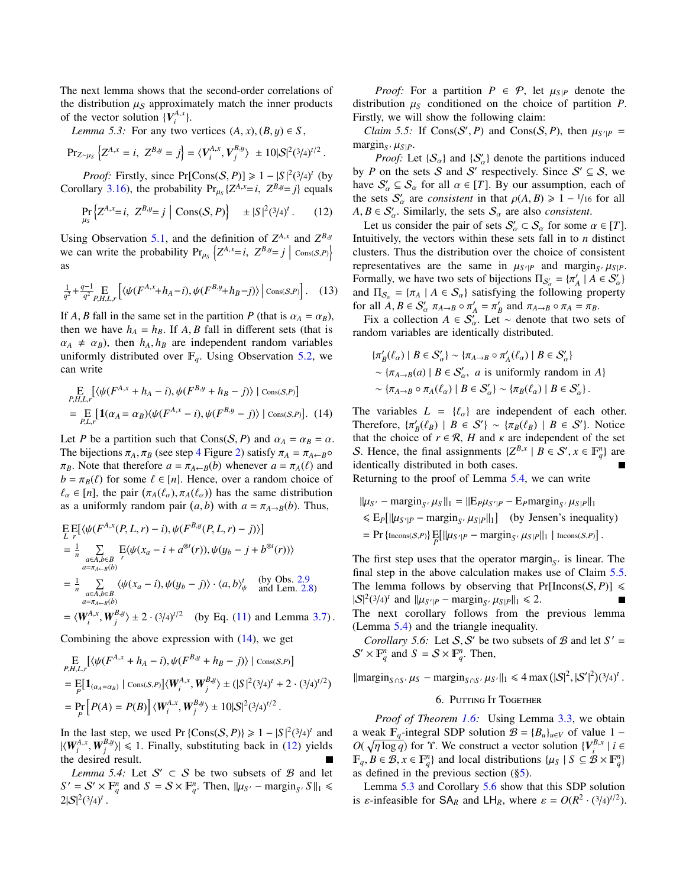The next lemma shows that the second-order correlations of the distribution  $\mu<sub>S</sub>$  approximately match the inner products of the vector solution  ${V_i^{A,x}}$ .

<span id="page-8-4"></span>*Lemma 5.3:* For any two vertices  $(A, x), (B, y) \in S$ ,

$$
\Pr_{Z \sim \mu_S} \left\{ Z^{A,x} = i, \ Z^{B,y} = j \right\} = \langle V_i^{A,x}, V_j^{B,y} \rangle \pm 10|\mathcal{S}|^2 (3/4)^{t/2}
$$

*Proof:* Firstly, since Pr[Cons(*S*, *P*)]  $\geq 1 - |S|^2 (3/4)^t$  (by  $\frac{1}{2}$  *Proof 3.16*) the probability Pr  $\frac{1}{2} Z^{A,x} - i Z^{B,y} - i$  equals Corollary [3.16\)](#page-7-1), the probability  $Pr_{\mu_S} \{Z^{A,x} = i, Z^{B,y} = j\}$  equals

<span id="page-8-1"></span>
$$
\Pr_{\mu_S} \left\{ Z^{A,x} = i, \ Z^{B,y} = j \mid \text{Cons}(S, P) \right\} \quad \pm |S|^2 (3/4)^t. \tag{12}
$$

Using Observation [5.1,](#page-7-2) and the definition of  $Z^{A,x}$  and  $Z^{B,y}$ we can write the probability  $Pr_{\mu_S} \left\{ Z^{A,x} = i, Z^{B,y} = j \mid \text{Cons}(S,P) \right\}$ as

$$
\frac{1}{q^2} + \frac{q-1}{q^2} \mathop{\mathbf{E}}_{P,H,L,r} \left[ \langle \psi(F^{A,x} + h_A - i), \psi(F^{B,y} + h_B - j) \rangle \, \middle| \, \text{Cons}(S,P) \right]. \tag{13}
$$

If *A*, *B* fall in the same set in the partition *P* (that is  $\alpha_A = \alpha_B$ ), then we have  $h_A = h_B$ . If *A*, *B* fall in different sets (that is  $\alpha_A \neq \alpha_B$ , then  $h_A$ ,  $h_B$  are independent random variables uniformly distributed over  $\mathbb{F}_q$ . Using Observation [5.2,](#page-7-3) we can write

$$
\mathcal{E}_{P,H,L,r} \left[ \langle \psi(F^{A,x} + h_A - i), \psi(F^{B,y} + h_B - j) \rangle \mid \text{Cons}(S,P) \right]
$$
\n
$$
= \mathcal{E}_{P,L,r} \left[ \mathbf{1}(\alpha_A = \alpha_B) \langle \psi(F^{A,x} - i), \psi(F^{B,y} - j) \rangle \mid \text{Cons}(S,P) \right]. \tag{14}
$$

Let *P* be a partition such that  $Cons(S, P)$  and  $\alpha_A = \alpha_B = \alpha$ . The bijections  $\pi_A$ ,  $\pi_B$  (see step [4](#page-9-6) Figure [2\)](#page-9-5) satisfy  $\pi_A = \pi_{A \leftarrow B} \circ$  $\pi_B$ . Note that therefore  $a = \pi_{A \leftarrow B}(b)$  whenever  $a = \pi_A(\ell)$  and  $b = \pi_B(\ell)$  for some  $\ell \in [n]$ . Hence, over a random choice of  $\ell_{\alpha} \in [n]$ , the pair  $(\pi_A(\ell_{\alpha}), \pi_A(\ell_{\alpha}))$  has the same distribution<br>as a uniformly random pair  $(a, b)$  with  $a = \pi_{\alpha}$ ,  $p(b)$ . Thus as a uniformly random pair  $(a, b)$  with  $a = \pi_{A \to B}(b)$ . Thus,

$$
\begin{split}\n& \mathcal{E} \mathbb{E} \big[ \langle \psi(F^{A,x}(P,L,r) - i), \psi(F^{B,y}(P,L,r) - j) \rangle \big] \\
& = \frac{1}{n} \sum_{\substack{a \in A, b \in B \\ a = \pi_{A+B}(b)}} \mathcal{E} \langle \psi(x_a - i + a^{\otimes t}(r)), \psi(y_b - j + b^{\otimes t}(r)) \rangle \\
& = \frac{1}{n} \sum_{\substack{a \in A, b \in B \\ a = \pi_{A+B}(b)}} \langle \psi(x_a - i), \psi(y_b - j) \rangle \cdot \langle a, b \rangle_{\psi}^t \quad \text{(by Obs. 2.9)} \\
& = \langle W_{i}^{A,x}, W_{j}^{B,y} \rangle \pm 2 \cdot (3/4)^{t/2} \quad \text{(by Eq. (11) and Lemma 3.7)}\n\end{split}
$$

Combining the above expression with  $(14)$ , we get

$$
\begin{split} & \mathop{\mathbf{E}}_{P,H,L,r} \left[ \langle \psi(F^{A,x} + h_A - i), \psi(F^{B,y} + h_B - j) \rangle \mid \text{Cons}(S,P) \right] \\ &= \mathop{\mathbf{E}}_{P} \left[ \mathbf{1}_{(\alpha_A = \alpha_B)} \mid \text{Cons}(S,P) \right] \langle W_i^{A,x}, W_j^{B,y} \rangle \pm \left( |S|^2 (3/4)^t + 2 \cdot (3/4)^{t/2} \right) \\ &= \mathop{\mathbf{Pr}}_{P} \left[ P(A) = P(B) \right] \langle W_i^{A,x}, W_j^{B,y} \rangle \pm 10 |S|^2 (3/4)^{t/2} \,. \end{split}
$$

In the last step, we used Pr {Cons(*S*, *P*)}  $\geq 1 - |S|^2 (3/4)^t$  and  $|Z(W^{A,x} \cap W^{B,y})| \leq 1$ . Finally, substituting back in (12) vields  $|\langle W_i^{A,x}, W_j^{B,y} \rangle| \le 1$ . Finally, substituting back in [\(12\)](#page-8-1) yields the desired result the desired result.

<span id="page-8-2"></span>*Lemma 5.4:* Let  $S' \subset S$  be two subsets of  $B$  and let  $S' = S' \times \mathbb{F}_q^n$  and  $S = S \times \mathbb{F}_q^n$ . Then,  $\|\mu_{S'} - \text{margin}_{S'} S\|_1 \leq 2 \cdot 3/\sqrt{N}$  $2|S|^2(3/4)^t$ 

*Proof:* For a partition  $P \in \mathcal{P}$ , let  $\mu_{S|P}$  denote the distribution  $\mu<sub>S</sub>$  conditioned on the choice of partition *P*. Firstly, we will show the following claim:

<span id="page-8-3"></span>*Claim 5.5:* If  $\text{Cons}(S', P)$  and  $\text{Cons}(S, P)$ , then  $\mu_{S'|P} = \text{proj}(S, P)$  $\frac{\text{margin}_S}{\text{Proof: I}}$ 

*Proof:* Let  $\{S_{\alpha}\}\$ and  $\{S'_{\alpha}\}\$  denote the partitions induced by *P* on the sets *S* and *S'* respectively. Since  $S' \subseteq S$ , we have  $S'_\alpha \subseteq S_\alpha$  for all  $\alpha \in [T]$ . By our assumption, each of the sets  $S'_\alpha$  are consistent in that  $\alpha(A, B) > 1 - 1/\alpha$  for all the sets  $S'_\alpha$  are *consistent* in that  $\rho(A, B) \ge 1 - \frac{1}{16}$  for all  $A \cdot B \in S'$  Similarly the sets S are also *consistent*  $A, B \in S'_\alpha$ . Similarly, the sets  $S_\alpha$  are also *consistent*.<br>Let us consider the pair of sets  $S' \subset S$  for some *i* 

Let us consider the pair of sets  $S'_\alpha \subset S_\alpha$  for some  $\alpha \in [T]$ . Intuitively, the vectors within these sets fall in to *n* distinct clusters. Thus the distribution over the choice of consistent representatives are the same in  $\mu_{S'/P}$  and margin<sub>S</sub>,  $\mu_{S/P}$ .<br>Formally we have two sets of bijections  $\Pi_{\alpha} = \{\pi' \mid A \in S' \}$ . Formally, we have two sets of bijections  $\Pi_{S'_\alpha} = {\pi'_A \mid A \in S'_\alpha}$ <br>and  $\Pi_{\alpha} = {\pi_{\alpha} \mid A \in S \setminus \text{ satisfying the following property}}$ and  $\Pi_{S_\alpha} = {\pi_A | A \in S_\alpha}$  satisfying the following property<br>for all  $\overline{A} \overline{B} \in S'$ ,  $\pi_{A \cap B} \circ \pi' = \pi'$  and  $\pi_{A \cap B} \circ \pi_A = \pi_B$ for all  $A, B \in S'_\alpha$ ,  $\pi_{A \to B} \circ \pi'_A = \pi'_B$  and  $\pi_{A \to B} \circ \pi_A = \pi_B$ .<br>Fix a collection  $A \in S'$ . Let  $\infty$  denote that two set

Fix a collection  $A \in S'_a$ . Let ∼ denote that two sets of random variables are identically distributed.

$$
\{\pi'_B(\ell_\alpha) \mid B \in \mathcal{S}'_\alpha\} \sim \{\pi_{A \to B} \circ \pi'_A(\ell_\alpha) \mid B \in \mathcal{S}'_\alpha\}
$$
  
 
$$
\sim \{\pi_{A \to B}(a) \mid B \in \mathcal{S}'_\alpha, \ a \text{ is uniformly random in } A\}
$$
  
 
$$
\sim \{\pi_{A \to B} \circ \pi_A(\ell_\alpha) \mid B \in \mathcal{S}'_\alpha\} \sim \{\pi_B(\ell_\alpha) \mid B \in \mathcal{S}'_\alpha\}.
$$

<span id="page-8-0"></span>The variables  $L = \{ \ell_{\alpha} \}$  are independent of each other. Therefore,  $\{\pi'_B(\ell_B) \mid B \in S'\} \sim \{\pi_B(\ell_B) \mid B \in S'\}$ . Notice that the choice of  $r \in \mathcal{R}$ , *H* and  $\kappa$  are independent of the set that the choice of  $r \in \mathcal{R}$ , *H* and  $\kappa$  are independent of the set S. Hence, the final assignments  $\{Z^{B,x} \mid B \in \mathcal{S}', x \in \mathbb{F}_q^n\}$  are identically distributed in both cases identically distributed in both cases.

Returning to the proof of Lemma [5.4,](#page-8-2) we can write

$$
||\mu_{S'} - \text{margin}_{S}, \mu_{S}||_1 = ||E_{P}\mu_{S'|P} - E_{P}\text{margin}_{S}, \mu_{S|P}||_1
$$
  
\$\le E\_P[||\mu\_{S'|P} - \text{margin}\_{S}, \mu\_{S|P}||\_1] (by Jensen's inequality)  
= Pr{Incons(S,P)} E[||\mu\_{S'|P} - \text{margin}\_{S}, \mu\_{S|P}||\_1 | Incons(S,P)].

The first step uses that the operator margin<sub> $S'$ </sub> is linear. The final step in the above calculation makes use of Claim [5.5.](#page-8-3) The lemma follows by observing that  $Pr[Incons(S, P)] \le$  $|S|^2 (3/4)^t$  and  $\|\mu_{S'|P} - \text{margin}_{S'} \mu_{S|P}\|_1 \le 2$ .<br>The next corollary follows from the The next corollary follows from the previous lemma

(Lemma [5.4\)](#page-8-2) and the triangle inequality.

*Corollary 5.6:* Let *S*, *S'* be two subsets of *B* and let  $S' = \times \mathbb{F}^n$  and  $S = S \times \mathbb{F}^n$  Then  $S' \times \mathbb{F}_q^n$  and  $S = S \times \mathbb{F}_q^n$ . Then,

 $\|\text{margin}_{S \cap S'} \mu_S - \text{margin}_{S \cap S'} \mu_{S'}\|_1 \leq 4 \max(|S|^2, |S'|^2)(3/4)^t$ |

#### <span id="page-8-5"></span>6. PUTTING IT TOGETHER

*Proof of Theorem [1.6:](#page-2-1)* Using Lemma [3.3,](#page-5-8) we obtain a weak  $\mathbb{F}_q$ -integral SDP solution  $\mathcal{B} = \{B_u\}_{u \in V}$  of value 1 – *O*( $\sqrt{\eta \log q}$ ) for *Y*. We construct a vector solution  ${V}^{B,x}_{i} | i \in$ <br> $B \in \mathcal{B}$ ,  $r \in \mathbb{F}^{n_1}$  and local distributions  $I u \in S \subset \mathcal{B} \times \mathbb{F}^{n_1}$  $\mathbb{F}_q, B \in \mathcal{B}, x \in \mathbb{F}_q^n$  and local distributions  $\{\mu_S \mid S \subseteq \mathcal{B} \times \mathbb{F}_q^n\}$  as defined in the previous section (85) as defined in the previous section  $(\S 5)$ .

Lemma [5.3](#page-8-4) and Corollary [5.6](#page-8-5) show that this SDP solution is  $\varepsilon$ -infeasible for  $SA_R$  and  $LH_R$ , where  $\varepsilon = O(R^2 \cdot (3/4)^{t/2})$ .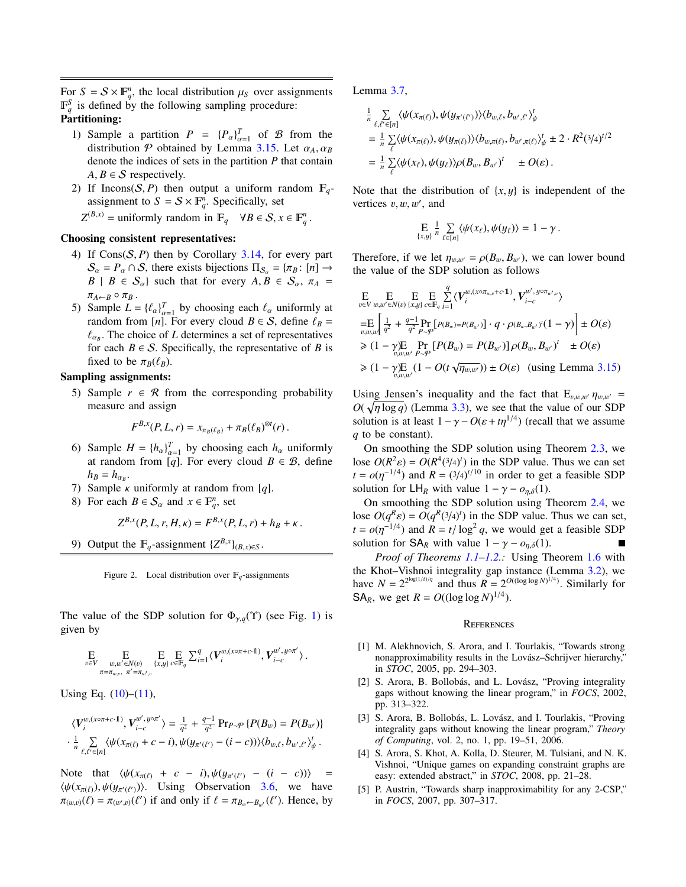For  $S = S \times \mathbb{F}_q^n$ , the local distribution  $\mu_S$  over assignments  $\mathbb{F}_q^S$  is defined by the following sampling procedure:  $\mathbb{F}_q^S$  is defined by the following sampling procedure: Partitioning:

- 1) Sample a partition  $P = \{P_{\alpha}\}_{\alpha=1}^T$  of  $\beta$  from the distribution P obtained by Lemma [3.15.](#page-6-6) Let  $\alpha_A, \alpha_B$ <br>denote the indices of sets in the partition P that contain denote the indices of sets in the partition *P* that contain  $A, B \in S$  respectively.
- 2) If Incons(S, P) then output a uniform random  $\mathbb{F}_q$ assignment to  $S = S \times \mathbb{F}_q^n$ . Specifically, set

 $Z^{(B,x)}$  = uniformly random in  $\mathbb{F}_q$   $\forall B \in S, x \in \mathbb{F}_q^n$ .

## Choosing consistent representatives:

- <span id="page-9-6"></span>4) If Cons(S, *<sup>P</sup>*) then by Corollary [3.14,](#page-6-8) for every part  $S_{\alpha} = P_{\alpha} \cap S$ , there exists bijections  $\Pi_{S_{\alpha}} = {\pi_B : [n] \rightarrow}$  $B \mid B \in S_\alpha$  such that for every  $A, B \in S_\alpha$ ,  $\pi_A =$  $\pi_{A\leftarrow B}\circ \pi_B$ .
- 5) Sample  $L = \{\ell_{\alpha}\}_{\alpha=1}^{T}$  by choosing each  $\ell_{\alpha}$  uniformly at random from  $[n]$ . For every cloud  $R \in S$  define  $\ell_{\alpha}$  For every cloud  $B \in S$ , define  $\ell_B =$ <br>frandom from [*n*]. For every cloud  $B \in S$ , define  $\ell_B =$ <br>france of *L* determines a set of representatives  $\alpha_{\alpha\beta}$ . The choice of *B* determines a set of representatives for each *B*  $\in$  *S*. Specifically, the representative of *B* is  $\ell_{\alpha}$ . The choice of *L* determines a set of representatives fixed to be  $\pi_B(\ell_B)$ .

## Sampling assignments:

5) Sample  $r \in \mathcal{R}$  from the corresponding probability measure and assign

$$
F^{B,x}(P,L,r)=x_{\pi_B(\ell_B)}+\pi_B(\ell_B)^{\otimes t}(r).
$$

- 6) Sample  $H = \{h_a\}_{a=1}^T$  by choosing each  $h_a$  uniformly  $\alpha$  ample  $H = \{n_{\alpha}\}_{\alpha=1}^{n_{\alpha}}$  by choosing each  $n_{\alpha}$  unformly at random from [*q*]. For every cloud  $B \in \mathcal{B}$ , define  $h_B = h_{\alpha_B}$ .<br>Semployees
- 7) Sample κ uniformly at random from [*q*].
- 8) For each  $B \in S_\alpha$  and  $x \in \mathbb{F}_q^n$ , set

$$
Z^{B,x}(P, L, r, H, \kappa) = F^{B,x}(P, L, r) + h_B + \kappa.
$$

9) Output the  $\mathbb{F}_q$ -assignment  $\{Z^{B,x}\}_{(B,x)\in S}$ .

<span id="page-9-5"></span>Figure 2. Local distribution over  $\mathbb{F}_q$ -assignments

The value of the SDP solution for  $\Phi_{\gamma,q}(\Upsilon)$  (see Fig. [1\)](#page-7-0) is given by

$$
\underset{v \in V}{\mathbf{E}} \underset{\underset{\pi = \pi_{w,v}, \ \pi' = \pi_{w',v}}{\mathbf{E}} \mathbf{E} \underset{\{x,y\}}{\mathbf{E}} \mathbf{E}_{c \in \mathbb{F}_q} \sum_{i=1}^q \langle \boldsymbol{V}^{w,(x \circ \pi + c \cdot 1)}_i, \boldsymbol{V}^{w', y \circ \pi'}_{i-c} \rangle \, .
$$

Using Eq.  $(10)$ – $(11)$ ,

$$
\langle V_i^{w,(x\circ\pi+c\cdot 1)}, V_{i-c}^{w',y\circ\pi'} \rangle = \frac{1}{q^2} + \frac{q-1}{q^2} \Pr_{P \sim P} \{P(B_w) = P(B_{w'})\}
$$
  

$$
\cdot \frac{1}{n} \sum_{\ell,\ell' \in [n]} \langle \psi(x_{\pi(\ell)} + c - i), \psi(y_{\pi'(\ell')} - (i - c)) \rangle \langle b_{w,\ell}, b_{w',\ell'} \rangle_{\psi}^t.
$$

Note that  $\langle \psi(x_{\pi(\ell)} + c - i), \psi(y_{\pi'(\ell')} - (i - c)) \rangle =$  $\langle \psi(x_{\pi(\ell)}), \psi(y_{\pi'(\ell')}) \rangle$ . Using Observation [3.6,](#page-6-9) we have  $\pi_{(w,v)}(\ell) = \pi_{(w',v)}(\ell')$  if and only if  $\ell = \pi_{B_w \leftarrow B_{w'}}(\ell')$ . Hence, by Lemma [3.7,](#page-6-7)

$$
\frac{1}{n} \sum_{\ell,\ell'\in[n]} \langle \psi(x_{\pi(\ell)}), \psi(y_{\pi'(\ell')}) \rangle \langle b_{w,\ell}, b_{w',\ell'} \rangle_{\psi}^t \n= \frac{1}{n} \sum_{\ell} \langle \psi(x_{\pi(\ell)}), \psi(y_{\pi(\ell)}) \rangle \langle b_{w,\pi(\ell)}, b_{w',\pi(\ell)} \rangle_{\psi}^t \pm 2 \cdot R^2 (3/4)^{t/2} \n= \frac{1}{n} \sum_{\ell} \langle \psi(x_{\ell}), \psi(y_{\ell}) \rangle \rho(B_w, B_{w'})^t \pm O(\varepsilon).
$$

Note that the distribution of  $\{x, y\}$  is independent of the vertices  $v, w, w'$ , and

$$
\underset{\{x,y\}}{\mathrm{E}}\frac{1}{n}\sum_{\ell\in[n]}\langle\psi(x_{\ell}),\psi(y_{\ell})\rangle=1-\gamma.
$$

Therefore, if we let  $\eta_{w,w'} = \rho(B_w, B_{w'})$ , we can lower bound the value of the SDP solution as follows

$$
E\n_{v\in V} E\n_{w,w'\in N(v)}\nE\n_{x,y} E\n_{c\in F_q} E_i \langle V_i^{w,(x\circ \pi_{w,v}+c\cdot 1)}, V_{i-c}^{w', y\circ \pi_{w',v}} \rangle
$$
\n
$$
= E\n_{v,w,w} \left[ \frac{1}{q^2} + \frac{q-1}{q^2} \Pr_{P\sim P} [P(B_w)=P(B_{w'})] \cdot q \cdot \rho(B_w, B_{w'}) (1-\gamma) \right] \pm O(\varepsilon)
$$
\n
$$
\geq (1-\gamma) E\n_{v,w,w'} P\sim P} [P(B_w) = P(B_{w'})] \rho(B_w, B_{w'})' \pm O(\varepsilon)
$$
\n
$$
\geq (1-\gamma) E\n_{v,w,w'} (1 - O(t\sqrt{\eta_{w,w'}})) \pm O(\varepsilon) \text{ (using Lemma 3.15)}
$$

Using Jensen's inequality and the fact that  $E_{v,w,w'}$   $\eta_{w,w'}$  =  $O(\sqrt{n \log q})$  (Lemma [3.3\)](#page-5-8), we see that the value of our SDP<br>solution is at least  $1 - \gamma - O(s + tn^{1/4})$  (recall that we assume solution is at least  $1 - \gamma - O(\varepsilon + t \eta^{1/4})$  (recall that we assume *a* to be constant) *q* to be constant).

On smoothing the SDP solution using Theorem [2.3,](#page-4-4) we lose  $O(R^2\varepsilon) = O(R^4(3/4)^t)$  in the SDP value. Thus we can set  $t = o(n^{-1/4})$  and  $R = (3/4)^{t/10}$  in order to get a feasible SDP  $t = o(\eta^{-1/4})$  and  $R = (3/4)^{t/10}$  in order to get a feasible SDP<br>solution for  $l \text{ H}_2$  with value  $l = \gamma - \rho_2$  (1) solution for  $LH_R$  with value  $1 - \gamma - o_{\eta,\delta}(1)$ .

On smoothing the SDP solution using Theorem [2.4,](#page-4-5) we lose  $O(q^R \varepsilon) = O(q^R(3/4)^t)$  in the SDP value. Thus we can set,<br>  $t = o(n^{-1/4})$  and  $R = t/\log^2 a$ , we would get a feasible SDP *t* =  $o(\eta^{-1/4})$  and  $R = t/\log^2 q$ , we would get a feasible SDP solution for  $S\Delta_0$  with value  $1 - \gamma = 0$  (1) solution for  $SA_R$  with value  $1 - \gamma - o_{\eta,\delta}(1)$ .

*Proof of Theorems [1.1–](#page-1-0)[1.2.](#page-1-1):* Using Theorem [1.6](#page-2-1) with the Khot–Vishnoi integrality gap instance (Lemma [3.2\)](#page-5-9), we have  $N = 2^{2^{\log(1/\delta)/\eta}}$  and thus  $R = 2^{O((\log \log N)^{1/4})}$ . Similarly for SA<sub>R</sub>, we get  $R = O((\log \log N)^{1/4})$ .

#### **REFERENCES**

- <span id="page-9-3"></span>[1] M. Alekhnovich, S. Arora, and I. Tourlakis, "Towards strong nonapproximability results in the Lovász-Schrijver hierarchy," in *STOC*, 2005, pp. 294–303.
- <span id="page-9-1"></span>[2] S. Arora, B. Bollobás, and L. Lovász, "Proving integrality gaps without knowing the linear program," in *FOCS*, 2002, pp. 313–322.
- <span id="page-9-2"></span>[3] S. Arora, B. Bollobás, L. Lovász, and I. Tourlakis, "Proving integrality gaps without knowing the linear program," *Theory of Computing*, vol. 2, no. 1, pp. 19–51, 2006.
- <span id="page-9-4"></span>[4] S. Arora, S. Khot, A. Kolla, D. Steurer, M. Tulsiani, and N. K. Vishnoi, "Unique games on expanding constraint graphs are easy: extended abstract," in *STOC*, 2008, pp. 21–28.
- <span id="page-9-0"></span>[5] P. Austrin, "Towards sharp inapproximability for any 2-CSP," in *FOCS*, 2007, pp. 307–317.